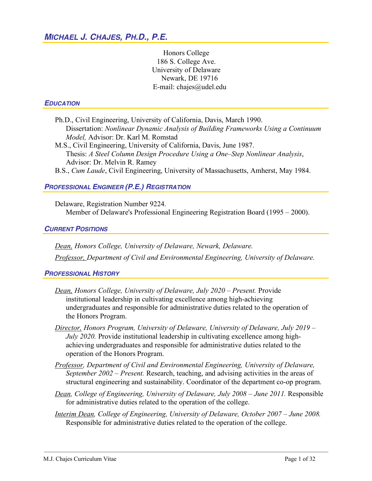Honors College 186 S. College Ave. University of Delaware Newark, DE 19716 E-mail: chajes@udel.edu

#### *EDUCATION*

- Ph.D., Civil Engineering, University of California, Davis, March 1990. Dissertation: *Nonlinear Dynamic Analysis of Building Frameworks Using a Continuum Model,* Advisor: Dr. Karl M. Romstad
- M.S., Civil Engineering, University of California, Davis, June 1987. Thesis: *A Steel Column Design Procedure Using a One–Step Nonlinear Analysis*, Advisor: Dr. Melvin R. Ramey B.S., *Cum Laude*, Civil Engineering, University of Massachusetts, Amherst, May 1984.

# *PROFESSIONAL ENGINEER (P.E.) REGISTRATION*

Delaware, Registration Number 9224. Member of Delaware's Professional Engineering Registration Board (1995 *–* 2000).

#### *CURRENT POSITIONS*

*Dean, Honors College, University of Delaware, Newark, Delaware. Professor, Department of Civil and Environmental Engineering, University of Delaware.*

*PROFESSIONAL HISTORY*

- *Dean, Honors College, University of Delaware, July 2020 – Present.* Provide institutional leadership in cultivating excellence among high-achieving undergraduates and responsible for administrative duties related to the operation of the Honors Program.
- *Director, Honors Program, University of Delaware, University of Delaware, July 2019 – July 2020.* Provide institutional leadership in cultivating excellence among highachieving undergraduates and responsible for administrative duties related to the operation of the Honors Program.
- *Professor, Department of Civil and Environmental Engineering, University of Delaware, September 2002 – Present.* Research, teaching, and advising activities in the areas of structural engineering and sustainability. Coordinator of the department co-op program.
- *Dean, College of Engineering, University of Delaware, July 2008 – June 2011.* Responsible for administrative duties related to the operation of the college.
- *Interim Dean, College of Engineering, University of Delaware, October 2007 – June 2008.* Responsible for administrative duties related to the operation of the college.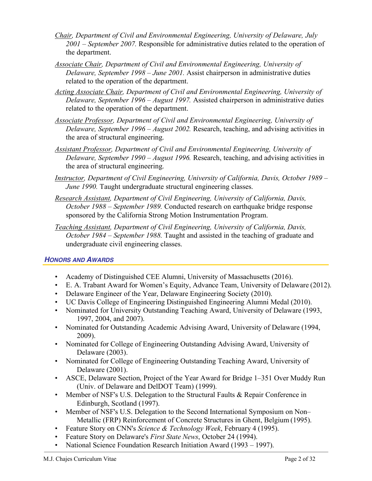- *Chair, Department of Civil and Environmental Engineering, University of Delaware, July 2001 – September 2007.* Responsible for administrative duties related to the operation of the department.
- *Associate Chair, Department of Civil and Environmental Engineering, University of Delaware, September 1998 – June 2001.* Assist chairperson in administrative duties related to the operation of the department.
- *Acting Associate Chair, Department of Civil and Environmental Engineering, University of Delaware, September 1996 – August 1997.* Assisted chairperson in administrative duties related to the operation of the department.
- *Associate Professor, Department of Civil and Environmental Engineering, University of Delaware, September 1996 – August 2002.* Research, teaching, and advising activities in the area of structural engineering.
- *Assistant Professor, Department of Civil and Environmental Engineering, University of Delaware, September 1990 – August 1996.* Research, teaching, and advising activities in the area of structural engineering.
- *Instructor, Department of Civil Engineering, University of California, Davis, October 1989 – June 1990.* Taught undergraduate structural engineering classes.
- *Research Assistant, Department of Civil Engineering, University of California, Davis, October 1988 – September 1989.* Conducted research on earthquake bridge response sponsored by the California Strong Motion Instrumentation Program.
- *Teaching Assistant, Department of Civil Engineering, University of California, Davis, October 1984 – September 1988.* Taught and assisted in the teaching of graduate and undergraduate civil engineering classes.

## *HONORS AND AWARDS*

- Academy of Distinguished CEE Alumni, University of Massachusetts (2016).
- E. A. Trabant Award for Women's Equity, Advance Team, University of Delaware (2012).
- Delaware Engineer of the Year, Delaware Engineering Society (2010).
- UC Davis College of Engineering Distinguished Engineering Alumni Medal (2010).
- Nominated for University Outstanding Teaching Award, University of Delaware (1993, 1997, 2004, and 2007).
- Nominated for Outstanding Academic Advising Award, University of Delaware (1994, 2009).
- Nominated for College of Engineering Outstanding Advising Award, University of Delaware (2003).
- Nominated for College of Engineering Outstanding Teaching Award, University of Delaware (2001).
- ASCE, Delaware Section, Project of the Year Award for Bridge 1–351 Over Muddy Run (Univ. of Delaware and DelDOT Team) (1999).
- Member of NSF's U.S. Delegation to the Structural Faults & Repair Conference in Edinburgh, Scotland (1997).
- Member of NSF's U.S. Delegation to the Second International Symposium on Non– Metallic (FRP) Reinforcement of Concrete Structures in Ghent, Belgium (1995).
- Feature Story on CNN's *Science & Technology Week*, February 4 (1995).
- Feature Story on Delaware's *First State News*, October 24 (1994).
- National Science Foundation Research Initiation Award (1993 1997).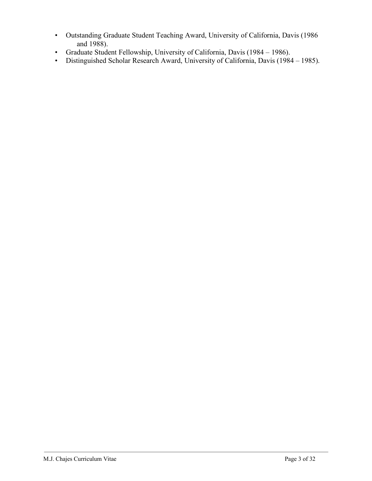- Outstanding Graduate Student Teaching Award, University of California, Davis (1986 and 1988).
- Graduate Student Fellowship, University of California, Davis (1984 1986).
- Distinguished Scholar Research Award, University of California, Davis (1984 1985).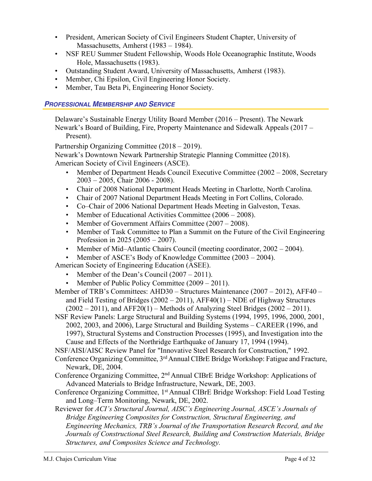- President, American Society of Civil Engineers Student Chapter, University of Massachusetts, Amherst (1983 – 1984).
- NSF REU Summer Student Fellowship, Woods Hole Oceanographic Institute, Woods Hole, Massachusetts (1983).
- Outstanding Student Award, University of Massachusetts, Amherst (1983).
- Member, Chi Epsilon, Civil Engineering Honor Society.
- Member, Tau Beta Pi, Engineering Honor Society.

### *PROFESSIONAL MEMBERSHIP AND SERVICE*

Delaware's Sustainable Energy Utility Board Member (2016 – Present). The Newark Newark's Board of Building, Fire, Property Maintenance and Sidewalk Appeals (2017 – Present).

Partnership Organizing Committee (2018 – 2019).

Newark's Downtown Newark Partnership Strategic Planning Committee (2018). American Society of Civil Engineers (ASCE).

- Member of Department Heads Council Executive Committee (2002 2008, Secretary 2003 – 2005, Chair 2006 - 2008).
- Chair of 2008 National Department Heads Meeting in Charlotte, North Carolina.
- Chair of 2007 National Department Heads Meeting in Fort Collins, Colorado.
- Co–Chair of 2006 National Department Heads Meeting in Galveston, Texas.
- Member of Educational Activities Committee (2006 2008).
- Member of Government Affairs Committee (2007 2008).
- Member of Task Committee to Plan a Summit on the Future of the Civil Engineering Profession in 2025 (2005 – 2007).
- Member of Mid–Atlantic Chairs Council (meeting coordinator, 2002 2004).
- Member of ASCE's Body of Knowledge Committee (2003 2004).

American Society of Engineering Education (ASEE).

- Member of the Dean's Council (2007 2011).
- Member of Public Policy Committee (2009 2011).
- Member of TRB's Committees: AHD30 Structures Maintenance (2007 2012), AFF40 and Field Testing of Bridges  $(2002 - 2011)$ , AFF40(1) – NDE of Highway Structures  $(2002 – 2011)$ , and AFF20(1) – Methods of Analyzing Steel Bridges (2002 – 2011).

NSF Review Panels: Large Structural and Building Systems (1994, 1995, 1996, 2000, 2001, 2002, 2003, and 2006), Large Structural and Building Systems – CAREER (1996, and 1997), Structural Systems and Construction Processes (1995), and Investigation into the Cause and Effects of the Northridge Earthquake of January 17, 1994 (1994).

NSF/AISI/AISC Review Panel for "Innovative Steel Research for Construction," 1992.

Conference Organizing Committee, 3<sup>rd</sup> Annual CIBrE Bridge Workshop: Fatigue and Fracture, Newark, DE, 2004.

- Conference Organizing Committee, 2nd Annual CIBrE Bridge Workshop: Applications of Advanced Materials to Bridge Infrastructure, Newark, DE, 2003.
- Conference Organizing Committee, 1<sup>st</sup> Annual CIBrE Bridge Workshop: Field Load Testing and Long–Term Monitoring, Newark, DE, 2002.
- Reviewer for *ACI's Structural Journal, AISC's Engineering Journal, ASCE's Journals of Bridge Engineering Composites for Construction, Structural Engineering, and Engineering Mechanics, TRB's Journal of the Transportation Research Record, and the Journals of Constructional Steel Research, Building and Construction Materials, Bridge Structures, and Composites Science and Technology.*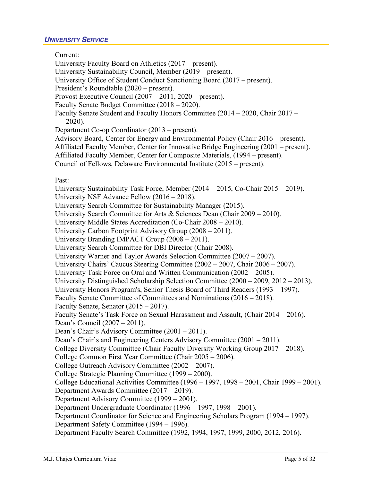#### *UNIVERSITY SERVICE*

Current:

University Faculty Board on Athletics (2017 – present). University Sustainability Council, Member (2019 – present). University Office of Student Conduct Sanctioning Board (2017 – present). President's Roundtable (2020 – present). Provost Executive Council (2007 – 2011, 2020 – present). Faculty Senate Budget Committee (2018 – 2020). Faculty Senate Student and Faculty Honors Committee (2014 – 2020, Chair 2017 – 2020). Department Co-op Coordinator (2013 – present). Advisory Board, Center for Energy and Environmental Policy (Chair 2016 – present). Affiliated Faculty Member, Center for Innovative Bridge Engineering (2001 – present). Affiliated Faculty Member, Center for Composite Materials, (1994 – present). Council of Fellows, Delaware Environmental Institute (2015 – present). Past: University Sustainability Task Force, Member (2014 – 2015, Co-Chair 2015 – 2019). University NSF Advance Fellow (2016 – 2018). University Search Committee for Sustainability Manager (2015). University Search Committee for Arts & Sciences Dean (Chair 2009 – 2010). University Middle States Accreditation (Co-Chair 2008 – 2010). University Carbon Footprint Advisory Group (2008 – 2011). University Branding IMPACT Group (2008 – 2011). University Search Committee for DBI Director (Chair 2008). University Warner and Taylor Awards Selection Committee (2007 – 2007). University Chairs' Caucus Steering Committee (2002 – 2007, Chair 2006 – 2007). University Task Force on Oral and Written Communication (2002 – 2005). University Distinguished Scholarship Selection Committee (2000 – 2009, 2012 – 2013). University Honors Program's, Senior Thesis Board of Third Readers (1993 – 1997). Faculty Senate Committee of Committees and Nominations (2016 – 2018). Faculty Senate, Senator (2015 – 2017). Faculty Senate's Task Force on Sexual Harassment and Assault, (Chair 2014 – 2016). Dean's Council (2007 – 2011). Dean's Chair's Advisory Committee (2001 – 2011). Dean's Chair's and Engineering Centers Advisory Committee (2001 – 2011). College Diversity Committee (Chair Faculty Diversity Working Group 2017 – 2018). College Common First Year Committee (Chair 2005 – 2006). College Outreach Advisory Committee (2002 – 2007). College Strategic Planning Committee (1999 – 2000). College Educational Activities Committee (1996 – 1997, 1998 – 2001, Chair 1999 – 2001). Department Awards Committee (2017 – 2019). Department Advisory Committee (1999 – 2001). Department Undergraduate Coordinator (1996 – 1997, 1998 – 2001). Department Coordinator for Science and Engineering Scholars Program (1994 – 1997). Department Safety Committee (1994 – 1996). Department Faculty Search Committee (1992, 1994, 1997, 1999, 2000, 2012, 2016).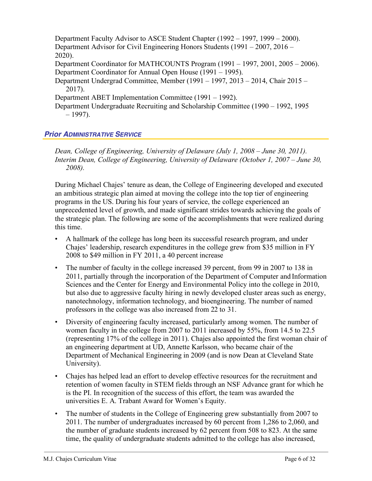Department Faculty Advisor to ASCE Student Chapter (1992 – 1997, 1999 – 2000). Department Advisor for Civil Engineering Honors Students (1991 – 2007, 2016 – 2020). Department Coordinator for MATHCOUNTS Program (1991 – 1997, 2001, 2005 – 2006). Department Coordinator for Annual Open House (1991 – 1995). Department Undergrad Committee, Member (1991 – 1997, 2013 – 2014, Chair 2015 – 2017). Department ABET Implementation Committee (1991 – 1992). Department Undergraduate Recruiting and Scholarship Committee (1990 – 1992, 1995  $-1997$ ).

## *Prior ADMINISTRATIVE SERVICE*

*Dean, College of Engineering, University of Delaware (July 1, 2008 – June 30, 2011). Interim Dean, College of Engineering, University of Delaware (October 1, 2007 – June 30, 2008).*

During Michael Chajes' tenure as dean, the College of Engineering developed and executed an ambitious strategic plan aimed at moving the college into the top tier of engineering programs in the US. During his four years of service, the college experienced an unprecedented level of growth, and made significant strides towards achieving the goals of the strategic plan. The following are some of the accomplishments that were realized during this time.

- A hallmark of the college has long been its successful research program, and under Chajes' leadership, research expenditures in the college grew from \$35 million in FY 2008 to \$49 million in FY 2011, a 40 percent increase
- The number of faculty in the college increased 39 percent, from 99 in 2007 to 138 in 2011, partially through the incorporation of the Department of Computer and Information Sciences and the Center for Energy and Environmental Policy into the college in 2010, but also due to aggressive faculty hiring in newly developed cluster areas such as energy, nanotechnology, information technology, and bioengineering. The number of named professors in the college was also increased from 22 to 31.
- Diversity of engineering faculty increased, particularly among women. The number of women faculty in the college from 2007 to 2011 increased by 55%, from 14.5 to 22.5 (representing 17% of the college in 2011). Chajes also appointed the first woman chair of an engineering department at UD, Annette Karlsson, who became chair of the Department of Mechanical Engineering in 2009 (and is now Dean at Cleveland State University).
- Chajes has helped lead an effort to develop effective resources for the recruitment and retention of women faculty in STEM fields through an NSF Advance grant for which he is the PI. In recognition of the success of this effort, the team was awarded the universities E. A. Trabant Award for Women's Equity.
- The number of students in the College of Engineering grew substantially from 2007 to 2011. The number of undergraduates increased by 60 percent from 1,286 to 2,060, and the number of graduate students increased by 62 percent from 508 to 823. At the same time, the quality of undergraduate students admitted to the college has also increased,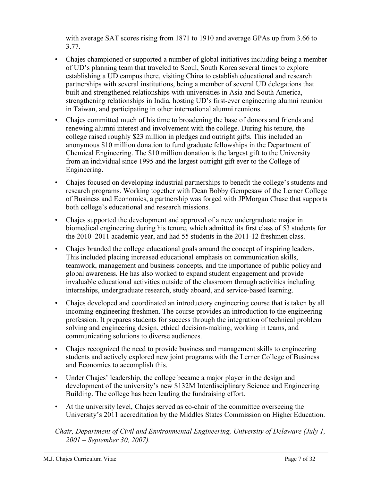with average SAT scores rising from 1871 to 1910 and average GPAs up from 3.66 to 3.77.

- Chajes championed or supported a number of global initiatives including being a member of UD's planning team that traveled to Seoul, South Korea several times to explore establishing a UD campus there, visiting China to establish educational and research partnerships with several institutions, being a member of several UD delegations that built and strengthened relationships with universities in Asia and South America, strengthening relationships in India, hosting UD's first-ever engineering alumni reunion in Taiwan, and participating in other international alumni reunions.
- Chajes committed much of his time to broadening the base of donors and friends and renewing alumni interest and involvement with the college. During his tenure, the college raised roughly \$23 million in pledges and outright gifts. This included an anonymous \$10 million donation to fund graduate fellowships in the Department of Chemical Engineering. The \$10 million donation is the largest gift to the University from an individual since 1995 and the largest outright gift ever to the College of Engineering.
- Chajes focused on developing industrial partnerships to benefit the college's students and research programs. Working together with Dean Bobby Gempesaw of the Lerner College of Business and Economics, a partnership was forged with JPMorgan Chase that supports both college's educational and research missions.
- Chajes supported the development and approval of a new undergraduate major in biomedical engineering during his tenure, which admitted its first class of 53 students for the 2010–2011 academic year, and had 55 students in the 2011-12 freshmen class.
- Chajes branded the college educational goals around the concept of inspiring leaders. This included placing increased educational emphasis on communication skills, teamwork, management and business concepts, and the importance of public policy and global awareness. He has also worked to expand student engagement and provide invaluable educational activities outside of the classroom through activities including internships, undergraduate research, study aboard, and service-based learning.
- Chajes developed and coordinated an introductory engineering course that is taken by all incoming engineering freshmen. The course provides an introduction to the engineering profession. It prepares students for success through the integration of technical problem solving and engineering design, ethical decision-making, working in teams, and communicating solutions to diverse audiences.
- Chajes recognized the need to provide business and management skills to engineering students and actively explored new joint programs with the Lerner College of Business and Economics to accomplish this.
- Under Chajes' leadership, the college became a major player in the design and development of the university's new \$132M Interdisciplinary Science and Engineering Building. The college has been leading the fundraising effort.
- At the university level, Chajes served as co-chair of the committee overseeing the University's 2011 accreditation by the Middles States Commission on Higher Education.

*Chair, Department of Civil and Environmental Engineering, University of Delaware (July 1, 2001 – September 30, 2007).*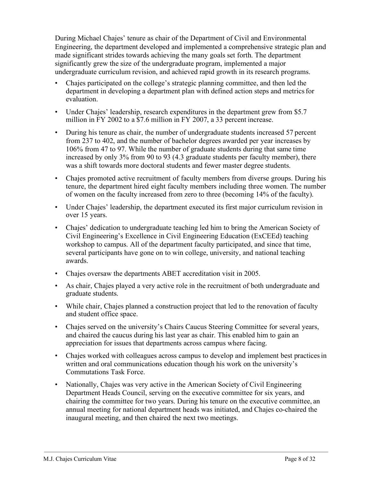During Michael Chajes' tenure as chair of the Department of Civil and Environmental Engineering, the department developed and implemented a comprehensive strategic plan and made significant strides towards achieving the many goals set forth. The department significantly grew the size of the undergraduate program, implemented a major undergraduate curriculum revision, and achieved rapid growth in its research programs.

- Chajes participated on the college's strategic planning committee, and then led the department in developing a department plan with defined action steps and metrics for evaluation.
- Under Chajes' leadership, research expenditures in the department grew from \$5.7 million in FY 2002 to a \$7.6 million in FY 2007, a 33 percent increase.
- During his tenure as chair, the number of undergraduate students increased 57 percent from 237 to 402, and the number of bachelor degrees awarded per year increases by 106% from 47 to 97. While the number of graduate students during that same time increased by only 3% from 90 to 93 (4.3 graduate students per faculty member), there was a shift towards more doctoral students and fewer master degree students.
- Chajes promoted active recruitment of faculty members from diverse groups. During his tenure, the department hired eight faculty members including three women. The number of women on the faculty increased from zero to three (becoming 14% of the faculty).
- Under Chajes' leadership, the department executed its first major curriculum revision in over 15 years.
- Chajes' dedication to undergraduate teaching led him to bring the American Society of Civil Engineering's Excellence in Civil Engineering Education (ExCEEd) teaching workshop to campus. All of the department faculty participated, and since that time, several participants have gone on to win college, university, and national teaching awards.
- Chajes oversaw the departments ABET accreditation visit in 2005.
- As chair, Chajes played a very active role in the recruitment of both undergraduate and graduate students.
- While chair, Chajes planned a construction project that led to the renovation of faculty and student office space.
- Chajes served on the university's Chairs Caucus Steering Committee for several years, and chaired the caucus during his last year as chair. This enabled him to gain an appreciation for issues that departments across campus where facing.
- Chajes worked with colleagues across campus to develop and implement best practices in written and oral communications education though his work on the university's Commutations Task Force.
- Nationally, Chajes was very active in the American Society of Civil Engineering Department Heads Council, serving on the executive committee for six years, and chairing the committee for two years. During his tenure on the executive committee, an annual meeting for national department heads was initiated, and Chajes co-chaired the inaugural meeting, and then chaired the next two meetings.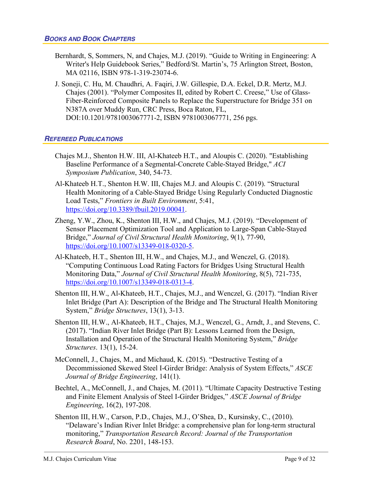#### *BOOKS AND BOOK CHAPTERS*

- Bernhardt, S, Sommers, N, and Chajes, M.J. (2019). "Guide to Writing in Engineering: A Writer's Help Guidebook Series," Bedford/St. Martin's, 75 Arlington Street, Boston, MA 02116, ISBN 978-1-319-23074-6.
- J. Soneji, C. Hu, M. Chaudhri, A. Faqiri, J.W. Gillespie, D.A. Eckel, D.R. Mertz, M.J. Chajes (2001). "Polymer Composites II, edited by Robert C. Creese," Use of Glass-Fiber-Reinforced Composite Panels to Replace the Superstructure for Bridge 351 on N387A over Muddy Run, CRC Press, Boca Raton, FL, DOI:10.1201/9781003067771-2, ISBN 9781003067771, 256 pgs.

#### *REFEREED PUBLICATIONS*

- Chajes M.J., Shenton H.W. III, Al-Khateeb H.T., and Aloupis C. (2020). "Establishing Baseline Performance of a Segmental-Concrete Cable-Stayed Bridge," *ACI Symposium Publication*, 340, 54-73.
- Al-Khateeb H.T., Shenton H.W. III, Chajes M.J. and Aloupis C. (2019). "Structural Health Monitoring of a Cable-Stayed Bridge Using Regularly Conducted Diagnostic Load Tests," *Frontiers in Built Environment*, 5:41, https://doi.org/10.3389/fbuil.2019.00041.
- Zheng, Y.W., Zhou, K., Shenton III, H.W., and Chajes, M.J. (2019). "Development of Sensor Placement Optimization Tool and Application to Large-Span Cable-Stayed Bridge," *Journal of Civil Structural Health Monitoring*, 9(1), 77-90, https://doi.org/10.1007/s13349-018-0320-5.
- Al-Khateeb, H.T., Shenton III, H.W., and Chajes, M.J., and Wenczel, G. (2018). "Computing Continuous Load Rating Factors for Bridges Using Structural Health Monitoring Data," *Journal of Civil Structural Health Monitoring*, 8(5), 721-735, https://doi.org/10.1007/s13349-018-0313-4.
- Shenton III, H.W., Al-Khateeb, H.T., Chajes, M.J., and Wenczel, G. (2017). "Indian River Inlet Bridge (Part A): Description of the Bridge and The Structural Health Monitoring System," *Bridge Structures*, 13(1), 3-13.
- Shenton III, H.W., Al-Khateeb, H.T., Chajes, M.J., Wenczel, G., Arndt, J., and Stevens, C. (2017). "Indian River Inlet Bridge (Part B): Lessons Learned from the Design, Installation and Operation of the Structural Health Monitoring System," *Bridge Structures*. 13(1), 15-24.
- McConnell, J., Chajes, M., and Michaud, K. (2015). "Destructive Testing of a Decommissioned Skewed Steel I-Girder Bridge: Analysis of System Effects," *ASCE Journal of Bridge Engineering*, 141(1).
- Bechtel, A., McConnell, J., and Chajes, M. (2011). "Ultimate Capacity Destructive Testing and Finite Element Analysis of Steel I-Girder Bridges," *ASCE Journal of Bridge Engineering*, 16(2), 197-208.
- Shenton III, H.W., Carson, P.D., Chajes, M.J., O'Shea, D., Kursinsky, C., (2010). "Delaware's Indian River Inlet Bridge: a comprehensive plan for long-term structural monitoring," *Transportation Research Record: Journal of the Transportation Research Board*, No. 2201, 148-153.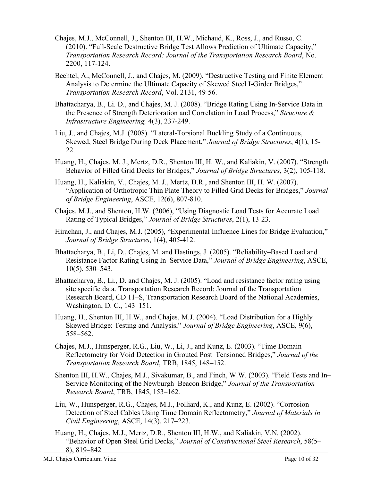- Chajes, M.J., McConnell, J., Shenton III, H.W., Michaud, K., Ross, J., and Russo, C. (2010). "Full-Scale Destructive Bridge Test Allows Prediction of Ultimate Capacity," *Transportation Research Record: Journal of the Transportation Research Board*, No. 2200, 117-124.
- Bechtel, A., McConnell, J., and Chajes, M. (2009). "Destructive Testing and Finite Element Analysis to Determine the Ultimate Capacity of Skewed Steel I-Girder Bridges," *Transportation Research Record*, Vol. 2131, 49-56.
- Bhattacharya, B., Li. D., and Chajes, M. J. (2008). "Bridge Rating Using In-Service Data in the Presence of Strength Deterioration and Correlation in Load Process," *Structure & Infrastructure Engineering,* 4(3), 237-249.
- Liu, J., and Chajes, M.J. (2008). "Lateral-Torsional Buckling Study of a Continuous, Skewed, Steel Bridge During Deck Placement," *Journal of Bridge Structures*, 4(1), 15- 22.
- Huang, H., Chajes, M. J., Mertz, D.R., Shenton III, H. W., and Kaliakin, V. (2007). "Strength Behavior of Filled Grid Decks for Bridges," *Journal of Bridge Structures*, 3(2), 105-118.
- Huang, H., Kaliakin, V., Chajes, M. J., Mertz, D.R., and Shenton III, H. W. (2007), "Application of Orthotropic Thin Plate Theory to Filled Grid Decks for Bridges," *Journal of Bridge Engineering*, ASCE, 12(6), 807-810.
- Chajes, M.J., and Shenton, H.W. (2006), "Using Diagnostic Load Tests for Accurate Load Rating of Typical Bridges," *Journal of Bridge Structures*, 2(1), 13-23.
- Hirachan, J., and Chajes, M.J. (2005), "Experimental Influence Lines for Bridge Evaluation," *Journal of Bridge Structures*, 1(4), 405-412.
- Bhattacharya, B., Li, D., Chajes, M. and Hastings, J. (2005). "Reliability–Based Load and Resistance Factor Rating Using In–Service Data," *Journal of Bridge Engineering*, ASCE, 10(5), 530–543.
- Bhattacharya, B., Li., D. and Chajes, M. J. (2005). "Load and resistance factor rating using site specific data. Transportation Research Record: Journal of the Transportation Research Board, CD 11–S, Transportation Research Board of the National Academies, Washington, D. C., 143–151.
- Huang, H., Shenton III, H.W., and Chajes, M.J. (2004). "Load Distribution for a Highly Skewed Bridge: Testing and Analysis," *Journal of Bridge Engineering*, ASCE, 9(6), 558–562.
- Chajes, M.J., Hunsperger, R.G., Liu, W., Li, J., and Kunz, E. (2003). "Time Domain Reflectometry for Void Detection in Grouted Post–Tensioned Bridges," *Journal of the Transportation Research Board*, TRB, 1845, 148–152.
- Shenton III, H.W., Chajes, M.J., Sivakumar, B., and Finch, W.W. (2003). "Field Tests and In– Service Monitoring of the Newburgh–Beacon Bridge," *Journal of the Transportation Research Board*, TRB, 1845, 153–162.
- Liu, W., Hunsperger, R.G., Chajes, M.J., Folliard, K., and Kunz, E. (2002). "Corrosion Detection of Steel Cables Using Time Domain Reflectometry," *Journal of Materials in Civil Engineering*, ASCE, 14(3), 217–223.
- Huang, H., Chajes, M.J., Mertz, D.R., Shenton III, H.W., and Kaliakin, V.N. (2002). "Behavior of Open Steel Grid Decks," *Journal of Constructional Steel Research*, 58(5– 8), 819–842.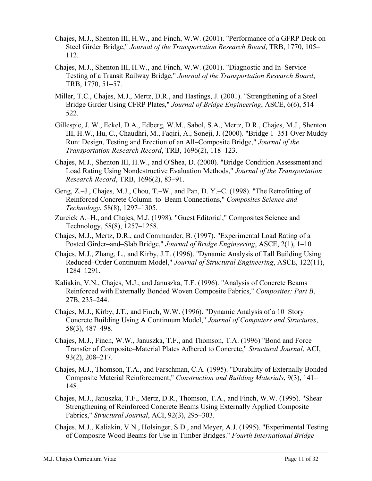- Chajes, M.J., Shenton III, H.W., and Finch, W.W. (2001). "Performance of a GFRP Deck on Steel Girder Bridge," *Journal of the Transportation Research Board*, TRB, 1770, 105– 112.
- Chajes, M.J., Shenton III, H.W., and Finch, W.W. (2001). "Diagnostic and In–Service Testing of a Transit Railway Bridge," *Journal of the Transportation Research Board*, TRB, 1770, 51–57.
- Miller, T.C., Chajes, M.J., Mertz, D.R., and Hastings, J. (2001). "Strengthening of a Steel Bridge Girder Using CFRP Plates," *Journal of Bridge Engineering*, ASCE, 6(6), 514– 522.
- Gillespie, J. W., Eckel, D.A., Edberg, W.M., Sabol, S.A., Mertz, D.R., Chajes, M.J., Shenton III, H.W., Hu, C., Chaudhri, M., Faqiri, A., Soneji, J. (2000). "Bridge 1–351 Over Muddy Run: Design, Testing and Erection of an All–Composite Bridge," *Journal of the Transportation Research Record*, TRB, 1696(2), 118–123.
- Chajes, M.J., Shenton III, H.W., and O'Shea, D. (2000). "Bridge Condition Assessment and Load Rating Using Nondestructive Evaluation Methods," *Journal of the Transportation Research Record*, TRB, 1696(2), 83–91.
- Geng, Z.–J., Chajes, M.J., Chou, T.–W., and Pan, D. Y.–C. (1998). "The Retrofitting of Reinforced Concrete Column–to–Beam Connections," *Composites Science and Technology*, 58(8), 1297–1305.
- Zureick A.–H., and Chajes, M.J. (1998). "Guest Editorial," Composites Science and Technology, 58(8), 1257–1258.
- Chajes, M.J., Mertz, D.R., and Commander, B. (1997). "Experimental Load Rating of a Posted Girder–and–Slab Bridge," *Journal of Bridge Engineering*, ASCE, 2(1), 1–10.
- Chajes, M.J., Zhang, L., and Kirby, J.T. (1996). "Dynamic Analysis of Tall Building Using Reduced–Order Continuum Model," *Journal of Structural Engineering*, ASCE, 122(11), 1284–1291.
- Kaliakin, V.N., Chajes, M.J., and Januszka, T.F. (1996). "Analysis of Concrete Beams Reinforced with Externally Bonded Woven Composite Fabrics," *Composites: Part B*, 27B, 235–244.
- Chajes, M.J., Kirby, J.T., and Finch, W.W. (1996). "Dynamic Analysis of a 10–Story Concrete Building Using A Continuum Model," *Journal of Computers and Structures*, 58(3), 487–498.
- Chajes, M.J., Finch, W.W., Januszka, T.F., and Thomson, T.A. (1996) "Bond and Force Transfer of Composite–Material Plates Adhered to Concrete," *Structural Journal*, ACI, 93(2), 208–217.
- Chajes, M.J., Thomson, T.A., and Farschman, C.A. (1995). "Durability of Externally Bonded Composite Material Reinforcement," *Construction and Building Materials*, 9(3), 141– 148.
- Chajes, M.J., Januszka, T.F., Mertz, D.R., Thomson, T.A., and Finch, W.W. (1995). "Shear Strengthening of Reinforced Concrete Beams Using Externally Applied Composite Fabrics," *Structural Journal*, ACI, 92(3), 295–303.
- Chajes, M.J., Kaliakin, V.N., Holsinger, S.D., and Meyer, A.J. (1995). "Experimental Testing of Composite Wood Beams for Use in Timber Bridges." *Fourth International Bridge*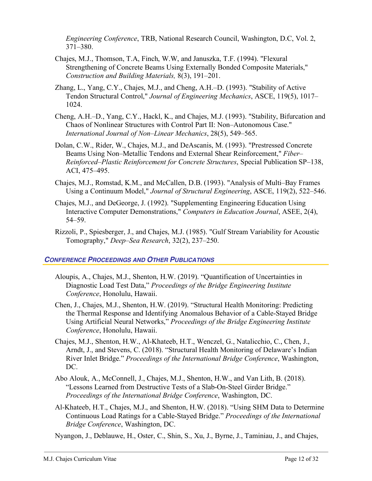*Engineering Conference*, TRB, National Research Council, Washington, D.C, Vol. 2, 371–380.

- Chajes, M.J., Thomson, T.A, Finch, W.W, and Januszka, T.F. (1994). "Flexural Strengthening of Concrete Beams Using Externally Bonded Composite Materials," *Construction and Building Materials,* 8(3), 191–201.
- Zhang, L., Yang, C.Y., Chajes, M.J., and Cheng, A.H.–D. (1993). "Stability of Active Tendon Structural Control," *Journal of Engineering Mechanics*, ASCE, 119(5), 1017– 1024.
- Cheng, A.H.–D., Yang, C.Y., Hackl, K., and Chajes, M.J. (1993). "Stability, Bifurcation and Chaos of Nonlinear Structures with Control Part II: Non–Autonomous Case." *International Journal of Non–Linear Mechanics*, 28(5), 549–565.
- Dolan, C.W., Rider, W., Chajes, M.J., and DeAscanis, M. (1993). "Prestressed Concrete Beams Using Non–Metallic Tendons and External Shear Reinforcement," *Fiber– Reinforced–Plastic Reinforcement for Concrete Structures*, Special Publication SP–138, ACI, 475–495.
- Chajes, M.J., Romstad, K.M., and McCallen, D.B. (1993). "Analysis of Multi–Bay Frames Using a Continuum Model," *Journal of Structural Engineering*, ASCE, 119(2), 522–546.
- Chajes, M.J., and DeGeorge, J. (1992). "Supplementing Engineering Education Using Interactive Computer Demonstrations," *Computers in Education Journal*, ASEE, 2(4), 54–59.
- Rizzoli, P., Spiesberger, J., and Chajes, M.J. (1985). "Gulf Stream Variability for Acoustic Tomography," *Deep–Sea Research*, 32(2), 237–250.

## *CONFERENCE PROCEEDINGS AND OTHER PUBLICATIONS*

- Aloupis, A., Chajes, M.J., Shenton, H.W. (2019). "Quantification of Uncertainties in Diagnostic Load Test Data," *Proceedings of the Bridge Engineering Institute Conference*, Honolulu, Hawaii.
- Chen, J., Chajes, M.J., Shenton, H.W. (2019). "Structural Health Monitoring: Predicting the Thermal Response and Identifying Anomalous Behavior of a Cable-Stayed Bridge Using Artificial Neural Networks," *Proceedings of the Bridge Engineering Institute Conference*, Honolulu, Hawaii.
- Chajes, M.J., Shenton, H.W., Al-Khateeb, H.T., Wenczel, G., Natalicchio, C., Chen, J., Arndt, J., and Stevens, C. (2018). "Structural Health Monitoring of Delaware's Indian River Inlet Bridge." *Proceedings of the International Bridge Conference*, Washington, DC.
- Abo Alouk, A., McConnell, J., Chajes, M.J., Shenton, H.W., and Van Lith, B. (2018). "Lessons Learned from Destructive Tests of a Slab-On-Steel Girder Bridge." *Proceedings of the International Bridge Conference*, Washington, DC.
- Al-Khateeb, H.T., Chajes, M.J., and Shenton, H.W. (2018). "Using SHM Data to Determine Continuous Load Ratings for a Cable-Stayed Bridge." *Proceedings of the International Bridge Conference*, Washington, DC.

Nyangon, J., Deblauwe, H., Oster, C., Shin, S., Xu, J., Byrne, J., Taminiau, J., and Chajes,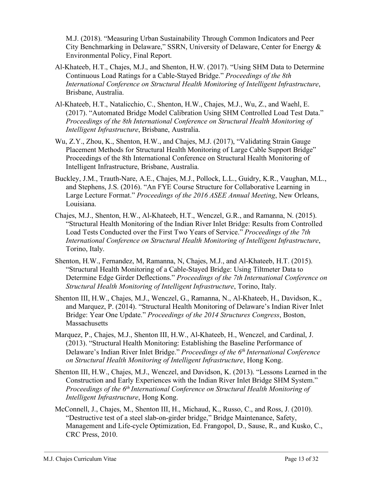M.J. (2018). "Measuring Urban Sustainability Through Common Indicators and Peer City Benchmarking in Delaware," SSRN, University of Delaware, Center for Energy & Environmental Policy, Final Report.

- Al-Khateeb, H.T., Chajes, M.J., and Shenton, H.W. (2017). "Using SHM Data to Determine Continuous Load Ratings for a Cable-Stayed Bridge." *Proceedings of the 8th International Conference on Structural Health Monitoring of Intelligent Infrastructure*, Brisbane, Australia.
- Al-Khateeb, H.T., Natalicchio, C., Shenton, H.W., Chajes, M.J., Wu, Z., and Waehl, E. (2017). "Automated Bridge Model Calibration Using SHM Controlled Load Test Data." *Proceedings of the 8th International Conference on Structural Health Monitoring of Intelligent Infrastructure*, Brisbane, Australia.
- Wu, Z.Y., Zhou, K., Shenton, H.W., and Chajes, M.J. (2017), "Validating Strain Gauge Placement Methods for Structural Health Monitoring of Large Cable Support Bridge" Proceedings of the 8th International Conference on Structural Health Monitoring of Intelligent Infrastructure, Brisbane, Australia.
- Buckley, J.M., Trauth-Nare, A.E., Chajes, M.J., Pollock, L.L., Guidry, K.R., Vaughan, M.L., and Stephens, J.S. (2016). "An FYE Course Structure for Collaborative Learning in Large Lecture Format." *Proceedings of the 2016 ASEE Annual Meeting*, New Orleans, Louisiana.
- Chajes, M.J., Shenton, H.W., Al-Khateeb, H.T., Wenczel, G.R., and Ramanna, N. (2015). "Structural Health Monitoring of the Indian River Inlet Bridge: Results from Controlled Load Tests Conducted over the First Two Years of Service." *Proceedings of the 7th International Conference on Structural Health Monitoring of Intelligent Infrastructure*, Torino, Italy.
- Shenton, H.W., Fernandez, M, Ramanna, N, Chajes, M.J., and Al-Khateeb, H.T. (2015). "Structural Health Monitoring of a Cable-Stayed Bridge: Using Tiltmeter Data to Determine Edge Girder Deflections." *Proceedings of the 7th International Conference on Structural Health Monitoring of Intelligent Infrastructure*, Torino, Italy.
- Shenton III, H.W., Chajes, M.J., Wenczel, G., Ramanna, N., Al-Khateeb, H., Davidson, K., and Marquez, P. (2014). "Structural Health Monitoring of Delaware's Indian River Inlet Bridge: Year One Update." *Proceedings of the 2014 Structures Congress*, Boston, **Massachusetts**
- Marquez, P., Chajes, M.J., Shenton III, H.W., Al-Khateeb, H., Wenczel, and Cardinal, J. (2013). "Structural Health Monitoring: Establishing the Baseline Performance of Delaware's Indian River Inlet Bridge." *Proceedings of the 6th International Conference on Structural Health Monitoring of Intelligent Infrastructure*, Hong Kong.
- Shenton III, H.W., Chajes, M.J., Wenczel, and Davidson, K. (2013). "Lessons Learned in the Construction and Early Experiences with the Indian River Inlet Bridge SHM System." *Proceedings of the 6th International Conference on Structural Health Monitoring of Intelligent Infrastructure*, Hong Kong.
- McConnell, J., Chajes, M., Shenton III, H., Michaud, K., Russo, C., and Ross, J. (2010). "Destructive test of a steel slab-on-girder bridge," Bridge Maintenance, Safety, Management and Life-cycle Optimization, Ed. Frangopol, D., Sause, R., and Kusko, C., CRC Press, 2010.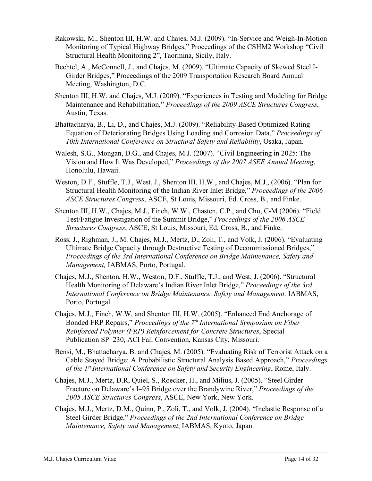- Rakowski, M., Shenton III, H.W. and Chajes, M.J. (2009). "In-Service and Weigh-In-Motion Monitoring of Typical Highway Bridges," Proceedings of the CSHM2 Workshop "Civil Structural Health Monitoring 2", Taormina, Sicily, Italy.
- Bechtel, A., McConnell, J., and Chajes, M. (2009). "Ultimate Capacity of Skewed Steel I-Girder Bridges," Proceedings of the 2009 Transportation Research Board Annual Meeting, Washington, D.C.
- Shenton III, H.W. and Chajes, M.J. (2009). "Experiences in Testing and Modeling for Bridge Maintenance and Rehabilitation," *Proceedings of the 2009 ASCE Structures Congress*, Austin, Texas.
- Bhattacharya, B., Li, D., and Chajes, M.J. (2009). "Reliability-Based Optimized Rating Equation of Deteriorating Bridges Using Loading and Corrosion Data," *Proceedings of 10th International Conference on Structural Safety and Reliability*, Osaka, Japan.
- Walesh, S.G., Mongan, D.G., and Chajes, M.J. (2007). "Civil Engineering in 2025: The Vision and How It Was Developed," *Proceedings of the 2007 ASEE Annual Meeting*, Honolulu, Hawaii.
- Weston, D.F., Stuffle, T.J., West, J., Shenton III, H.W., and Chajes, M.J., (2006). "Plan for Structural Health Monitoring of the Indian River Inlet Bridge," *Proceedings of the 2006 ASCE Structures Congress*, ASCE, St Louis, Missouri, Ed. Cross, B., and Finke.
- Shenton III, H.W., Chajes, M.J., Finch, W.W., Chasten, C.P., and Chu, C-M (2006). "Field Test/Fatigue Investigation of the Summit Bridge," *Proceedings of the 2006 ASCE Structures Congress*, ASCE, St Louis, Missouri, Ed. Cross, B., and Finke.
- Ross, J., Righman, J., M. Chajes, M.J., Mertz, D., Zoli, T., and Volk, J. (2006). "Evaluating Ultimate Bridge Capacity through Destructive Testing of Decommissioned Bridges," *Proceedings of the 3rd International Conference on Bridge Maintenance, Safety and Management,* IABMAS, Porto, Portugal.
- Chajes, M.J., Shenton, H.W., Weston, D.F., Stuffle, T.J., and West, J. (2006). "Structural Health Monitoring of Delaware's Indian River Inlet Bridge," *Proceedings of the 3rd International Conference on Bridge Maintenance, Safety and Management,* IABMAS, Porto, Portugal
- Chajes, M.J., Finch, W.W, and Shenton III, H.W. (2005). "Enhanced End Anchorage of Bonded FRP Repairs," *Proceedings of the 7th International Symposium on Fiber– Reinforced Polymer (FRP) Reinforcement for Concrete Structures*, Special Publication SP–230, ACI Fall Convention, Kansas City, Missouri.
- Bensi, M., Bhattacharya, B. and Chajes, M. (2005). "Evaluating Risk of Terrorist Attack on a Cable Stayed Bridge: A Probabilistic Structural Analysis Based Approach," *Proceedings of the 1st International Conference on Safety and Security Engineering*, Rome, Italy.
- Chajes, M.J., Mertz, D.R, Quiel, S., Roecker, H., and Milius, J. (2005). "Steel Girder Fracture on Delaware's I–95 Bridge over the Brandywine River," *Proceedings of the 2005 ASCE Structures Congress*, ASCE, New York, New York.
- Chajes, M.J., Mertz, D.M., Quinn, P., Zoli, T., and Volk, J. (2004). "Inelastic Response of a Steel Girder Bridge," *Proceedings of the 2nd International Conference on Bridge Maintenance, Safety and Management*, IABMAS, Kyoto, Japan.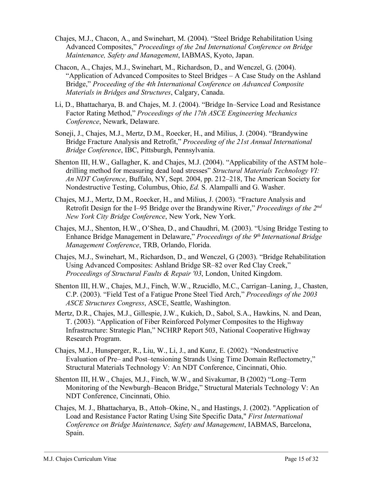- Chajes, M.J., Chacon, A., and Swinehart, M. (2004). "Steel Bridge Rehabilitation Using Advanced Composites," *Proceedings of the 2nd International Conference on Bridge Maintenance, Safety and Management*, IABMAS, Kyoto, Japan.
- Chacon, A., Chajes, M.J., Swinehart, M., Richardson, D., and Wenczel, G. (2004). "Application of Advanced Composites to Steel Bridges – A Case Study on the Ashland Bridge," *Proceeding of the 4th International Conference on Advanced Composite Materials in Bridges and Structures*, Calgary, Canada.
- Li, D., Bhattacharya, B. and Chajes, M. J. (2004). "Bridge In–Service Load and Resistance Factor Rating Method," *Proceedings of the 17th ASCE Engineering Mechanics Conference*, Newark, Delaware.
- Soneji, J., Chajes, M.J., Mertz, D.M., Roecker, H., and Milius, J. (2004). "Brandywine Bridge Fracture Analysis and Retrofit," *Proceeding of the 21st Annual International Bridge Conference*, IBC, Pittsburgh, Pennsylvania.
- Shenton III, H.W., Gallagher, K. and Chajes, M.J. (2004). "Applicability of the ASTM hole– drilling method for measuring dead load stresses" *Structural Materials Technology VI: An NDT Conference*, Buffalo, NY, Sept. 2004, pp. 212–218, The American Society for Nondestructive Testing, Columbus, Ohio, *Ed.* S. Alampalli and G. Washer.
- Chajes, M.J., Mertz, D.M., Roecker, H., and Milius, J. (2003). "Fracture Analysis and Retrofit Design for the I–95 Bridge over the Brandywine River," *Proceedings of the 2nd New York City Bridge Conference*, New York, New York.
- Chajes, M.J., Shenton, H.W., O'Shea, D., and Chaudhri, M. (2003). "Using Bridge Testing to Enhance Bridge Management in Delaware," *Proceedings of the 9th International Bridge Management Conference*, TRB, Orlando, Florida.
- Chajes, M.J., Swinehart, M., Richardson, D., and Wenczel, G (2003). "Bridge Rehabilitation Using Advanced Composites: Ashland Bridge SR–82 over Red Clay Creek," *Proceedings of Structural Faults & Repair '03*, London, United Kingdom.
- Shenton III, H.W., Chajes, M.J., Finch, W.W., Rzucidlo, M.C., Carrigan–Laning, J., Chasten, C.P. (2003). "Field Test of a Fatigue Prone Steel Tied Arch," *Proceedings of the 2003 ASCE Structures Congress*, ASCE, Seattle, Washington.
- Mertz, D.R., Chajes, M.J., Gillespie, J.W., Kukich, D., Sabol, S.A., Hawkins, N. and Dean, T. (2003). "Application of Fiber Reinforced Polymer Composites to the Highway Infrastructure: Strategic Plan," NCHRP Report 503, National Cooperative Highway Research Program.
- Chajes, M.J., Hunsperger, R., Liu, W., Li, J., and Kunz, E. (2002). "Nondestructive Evaluation of Pre– and Post–tensioning Strands Using Time Domain Reflectometry," Structural Materials Technology V: An NDT Conference, Cincinnati, Ohio.
- Shenton III, H.W., Chajes, M.J., Finch, W.W., and Sivakumar, B (2002) "Long–Term Monitoring of the Newburgh–Beacon Bridge," Structural Materials Technology V: An NDT Conference, Cincinnati, Ohio.
- Chajes, M. J., Bhattacharya, B., Attoh–Okine, N., and Hastings, J. (2002). "Application of Load and Resistance Factor Rating Using Site Specific Data," *First International Conference on Bridge Maintenance, Safety and Management*, IABMAS, Barcelona, Spain.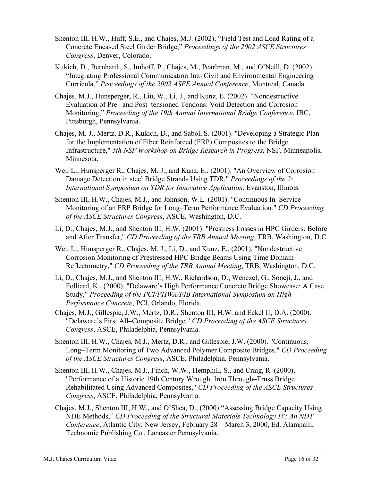- Shenton III, H.W., Huff, S.E., and Chajes, M.J. (2002), "Field Test and Load Rating of a Concrete Encased Steel Girder Bridge," *Proceedings of the 2002 ASCE Structures Congress*, Denver, Colorado.
- Kukich, D., Bernhardt, S., Imhoff, P., Chajes, M., Pearlman, M., and O'Neill, D. (2002). "Integrating Professional Communication Into Civil and Environmental Engineering Curricula," *Proceedings of the 2002 ASEE Annual Conference*, Montreal, Canada.
- Chajes, M.J., Hunsperger, R., Liu, W., Li, J., and Kunz, E. (2002). "Nondestructive Evaluation of Pre– and Post–tensioned Tendons: Void Detection and Corrosion Monitoring," *Proceeding of the 19th Annual International Bridge Conference*, IBC, Pittsburgh, Pennsylvania.
- Chajes, M. J., Mertz, D.R., Kukich, D., and Sabol, S. (2001). "Developing a Strategic Plan for the Implementation of Fiber Reinforced (FRP) Composites to the Bridge Infrastructure," *5th NSF Workshop on Bridge Research in Progress*, NSF, Minneapolis, Minnesota.
- Wei, L., Hunsperger R., Chajes, M. J., and Kunz, E., (2001). "An Overview of Corrosion Damage Detection in steel Bridge Strands Using TDR," *Proceedings of the 2<sup>™</sup> International Symposium on TDR for Innovative Application*, Evanston, Illinois.
- Shenton III, H.W., Chajes, M.J., and Johnson, W.L. (2001). "Continuous In–Service Monitoring of an FRP Bridge for Long–Term Performance Evaluation*,*" *CD Proceeding of the ASCE Structures Congress*, ASCE, Washington, D.C.
- Li, D., Chajes, M.J., and Shenton III, H.W. (2001). "Prestress Losses in HPC Girders: Before and After Transfer," *CD Proceeding of the TRB Annual Meeting*, TRB, Washington, D.C.
- Wei, L., Hunsperger R., Chajes, M. J., Li, D., and Kunz, E., (2001). "Nondestructive Corrosion Monitoring of Prestressed HPC Bridge Beams Using Time Domain Reflectometry," *CD Proceeding of the TRB Annual Meeting*, TRB, Washington, D.C.
- Li, D., Chajes, M.J., and Shenton III, H.W., Richardson, D., Wenczel, G., Soneji, J., and Folliard, K., (2000). "Delaware's High Performance Concrete Bridge Showcase: A Case Study," *Proceeding of the PCI/FHWA/FIB International Symposium on High Performance Concrete*, PCI, Orlando, Florida.
- Chajes, M.J., Gillespie, J.W., Mertz, D.R., Shenton III, H.W. and Eckel II, D.A. (2000). "Delaware's First All–Composite Bridge*,*" *CD Proceeding of the ASCE Structures Congress*, ASCE, Philadelphia, Pennsylvania.
- Shenton III, H.W., Chajes, M.J., Mertz, D.R., and Gillespie, J.W. (2000). "Continuous, Long–Term Monitoring of Two Advanced Polymer Composite Bridges*,*" *CD Proceeding of the ASCE Structures Congress*, ASCE, Philadelphia, Pennsylvania.
- Shenton III, H.W., Chajes, M.J., Finch, W.W., Hemphill, S., and Craig, R. (2000), "Performance of a Historic 19th Century Wrought Iron Through–Truss Bridge Rehabilitated Using Advanced Composites," *CD Proceeding of the ASCE Structures Congress*, ASCE, Philadelphia, Pennsylvania.
- Chajes, M.J., Shenton III, H.W., and O'Shea, D., (2000) "Assessing Bridge Capacity Using NDE Methods," *CD Proceeding of the Structural Materials Technology IV: An NDT Conference*, Atlantic City, New Jersey, February 28 – March 3, 2000, Ed. Alampalli, Technomic Publishing Co., Lancaster Pennsylvania.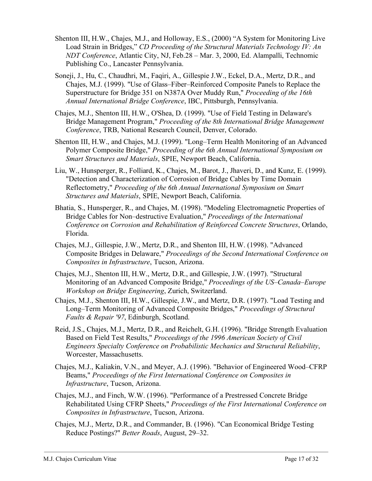- Shenton III, H.W., Chajes, M.J., and Holloway, E.S., (2000) "A System for Monitoring Live Load Strain in Bridges," *CD Proceeding of the Structural Materials Technology IV: An NDT Conference*, Atlantic City, NJ, Feb.28 – Mar. 3, 2000, Ed. Alampalli, Technomic Publishing Co., Lancaster Pennsylvania.
- Soneji, J., Hu, C., Chaudhri, M., Faqiri, A., Gillespie J.W., Eckel, D.A., Mertz, D.R., and Chajes, M.J. (1999). "Use of Glass–Fiber–Reinforced Composite Panels to Replace the Superstructure for Bridge 351 on N387A Over Muddy Run," *Proceeding of the 16th Annual International Bridge Conference*, IBC, Pittsburgh, Pennsylvania.
- Chajes, M.J., Shenton III, H.W., O'Shea, D. (1999). "Use of Field Testing in Delaware's Bridge Management Program," *Proceeding of the 8th International Bridge Management Conference*, TRB, National Research Council, Denver, Colorado.
- Shenton III, H.W., and Chajes, M.J. (1999). "Long–Term Health Monitoring of an Advanced Polymer Composite Bridge," *Proceeding of the 6th Annual International Symposium on Smart Structures and Materials*, SPIE, Newport Beach, California.
- Liu, W., Hunsperger, R., Folliard, K., Chajes, M., Barot, J., Jhaveri, D., and Kunz, E. (1999). "Detection and Characterization of Corrosion of Bridge Cables by Time Domain Reflectometry," *Proceeding of the 6th Annual International Symposium on Smart Structures and Materials*, SPIE, Newport Beach, California.
- Bhatia, S., Hunsperger, R., and Chajes, M. (1998). "Modeling Electromagnetic Properties of Bridge Cables for Non–destructive Evaluation," *Proceedings of the International Conference on Corrosion and Rehabilitation of Reinforced Concrete Structures*, Orlando, Florida.
- Chajes, M.J., Gillespie, J.W., Mertz, D.R., and Shenton III, H.W. (1998). "Advanced Composite Bridges in Delaware," *Proceedings of the Second International Conference on Composites in Infrastructure*, Tucson, Arizona.
- Chajes, M.J., Shenton III, H.W., Mertz, D.R., and Gillespie, J.W. (1997). "Structural Monitoring of an Advanced Composite Bridge," *Proceedings of the US–Canada–Europe Workshop on Bridge Engineering*, Zurich, Switzerland.
- Chajes, M.J., Shenton III, H.W., Gillespie, J.W., and Mertz, D.R. (1997). "Load Testing and Long–Term Monitoring of Advanced Composite Bridges," *Proceedings of Structural Faults & Repair '97*, Edinburgh, Scotland.
- Reid, J.S., Chajes, M.J., Mertz, D.R., and Reichelt, G.H. (1996). "Bridge Strength Evaluation Based on Field Test Results," *Proceedings of the 1996 American Society of Civil Engineers Specialty Conference on Probabilistic Mechanics and Structural Reliability*, Worcester, Massachusetts.
- Chajes, M.J., Kaliakin, V.N., and Meyer, A.J. (1996). "Behavior of Engineered Wood–CFRP Beams," *Proceedings of the First International Conference on Composites in Infrastructure*, Tucson, Arizona.
- Chajes, M.J., and Finch, W.W. (1996). "Performance of a Prestressed Concrete Bridge Rehabilitated Using CFRP Sheets," *Proceedings of the First International Conference on Composites in Infrastructure*, Tucson, Arizona.
- Chajes, M.J., Mertz, D.R., and Commander, B. (1996). "Can Economical Bridge Testing Reduce Postings?" *Better Roads*, August, 29–32.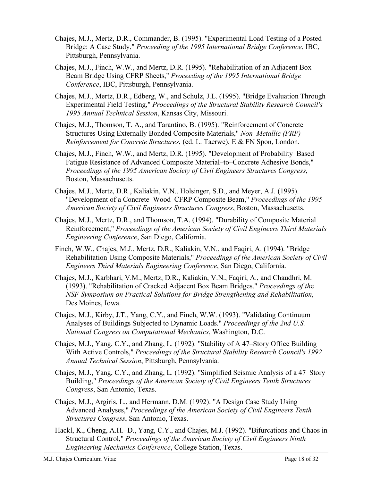- Chajes, M.J., Mertz, D.R., Commander, B. (1995). "Experimental Load Testing of a Posted Bridge: A Case Study," *Proceeding of the 1995 International Bridge Conference*, IBC, Pittsburgh, Pennsylvania.
- Chajes, M.J., Finch, W.W., and Mertz, D.R. (1995). "Rehabilitation of an Adjacent Box– Beam Bridge Using CFRP Sheets," *Proceeding of the 1995 International Bridge Conference*, IBC, Pittsburgh, Pennsylvania.
- Chajes, M.J., Mertz, D.R., Edberg, W., and Schulz, J.L. (1995). "Bridge Evaluation Through Experimental Field Testing," *Proceedings of the Structural Stability Research Council's 1995 Annual Technical Session*, Kansas City, Missouri.
- Chajes, M.J., Thomson, T. A., and Tarantino, B. (1995). "Reinforcement of Concrete Structures Using Externally Bonded Composite Materials," *Non–Metallic (FRP) Reinforcement for Concrete Structures*, (ed. L. Taerwe), E & FN Spon, London.
- Chajes, M.J., Finch, W.W., and Mertz, D.R. (1995). "Development of Probability–Based Fatigue Resistance of Advanced Composite Material–to–Concrete Adhesive Bonds," *Proceedings of the 1995 American Society of Civil Engineers Structures Congress*, Boston, Massachusetts.
- Chajes, M.J., Mertz, D.R., Kaliakin, V.N., Holsinger, S.D., and Meyer, A.J. (1995). "Development of a Concrete–Wood–CFRP Composite Beam," *Proceedings of the 1995 American Society of Civil Engineers Structures Congress*, Boston, Massachusetts.
- Chajes, M.J., Mertz, D.R., and Thomson, T.A. (1994). "Durability of Composite Material Reinforcement," *Proceedings of the American Society of Civil Engineers Third Materials Engineering Conference*, San Diego, California.
- Finch, W.W., Chajes, M.J., Mertz, D.R., Kaliakin, V.N., and Faqiri, A. (1994). "Bridge Rehabilitation Using Composite Materials," *Proceedings of the American Society of Civil Engineers Third Materials Engineering Conference*, San Diego, California.
- Chajes, M.J., Karbhari, V.M., Mertz, D.R., Kaliakin, V.N., Faqiri, A., and Chaudhri, M. (1993). "Rehabilitation of Cracked Adjacent Box Beam Bridges." *Proceedings of th*e *NSF Symposium on Practical Solutions for Bridge Strengthening and Rehabilitation*, Des Moines, Iowa.
- Chajes, M.J., Kirby, J.T., Yang, C.Y., and Finch, W.W. (1993). "Validating Continuum Analyses of Buildings Subjected to Dynamic Loads." *Proceedings of the 2nd U.S. National Congress on Computational Mechanics*, Washington, D.C.
- Chajes, M.J., Yang, C.Y., and Zhang, L. (1992). "Stability of A 47–Story Office Building With Active Controls," *Proceedings of the Structural Stability Research Council's 1992 Annual Technical Session*, Pittsburgh, Pennsylvania.
- Chajes, M.J., Yang, C.Y., and Zhang, L. (1992). "Simplified Seismic Analysis of a 47–Story Building," *Proceedings of the American Society of Civil Engineers Tenth Structures Congress*, San Antonio, Texas.
- Chajes, M.J., Argiris, L., and Hermann, D.M. (1992). "A Design Case Study Using Advanced Analyses," *Proceedings of the American Society of Civil Engineers Tenth Structures Congress*, San Antonio, Texas.
- Hackl, K., Cheng, A.H.–D., Yang, C.Y., and Chajes, M.J. (1992). "Bifurcations and Chaos in Structural Control," *Proceedings of the American Society of Civil Engineers Ninth Engineering Mechanics Conference*, College Station, Texas.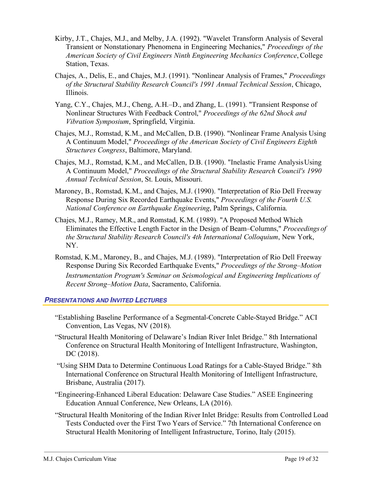- Kirby, J.T., Chajes, M.J., and Melby, J.A. (1992). "Wavelet Transform Analysis of Several Transient or Nonstationary Phenomena in Engineering Mechanics," *Proceedings of the American Society of Civil Engineers Ninth Engineering Mechanics Conference*, College Station, Texas.
- Chajes, A., Delis, E., and Chajes, M.J. (1991). "Nonlinear Analysis of Frames," *Proceedings of the Structural Stability Research Council's 1991 Annual Technical Session*, Chicago, Illinois.
- Yang, C.Y., Chajes, M.J., Cheng, A.H.–D., and Zhang, L. (1991). "Transient Response of Nonlinear Structures With Feedback Control," *Proceedings of the 62nd Shock and Vibration Symposium*, Springfield, Virginia.
- Chajes, M.J., Romstad, K.M., and McCallen, D.B. (1990). "Nonlinear Frame Analysis Using A Continuum Model," *Proceedings of the American Society of Civil Engineers Eighth Structures Congress*, Baltimore, Maryland.
- Chajes, M.J., Romstad, K.M., and McCallen, D.B. (1990). "Inelastic Frame AnalysisUsing A Continuum Model," *Proceedings of the Structural Stability Research Council's 1990 Annual Technical Session*, St. Louis, Missouri.
- Maroney, B., Romstad, K.M., and Chajes, M.J. (1990). "Interpretation of Rio Dell Freeway Response During Six Recorded Earthquake Events," *Proceedings of the Fourth U.S. National Conference on Earthquake Engineering*, Palm Springs, California.
- Chajes, M.J., Ramey, M.R., and Romstad, K.M. (1989). "A Proposed Method Which Eliminates the Effective Length Factor in the Design of Beam–Columns," *Proceedings of the Structural Stability Research Council's 4th International Colloquium*, New York, NY.
- Romstad, K.M., Maroney, B., and Chajes, M.J. (1989). "Interpretation of Rio Dell Freeway Response During Six Recorded Earthquake Events," *Proceedings of the Strong–Motion Instrumentation Program's Seminar on Seismological and Engineering Implications of Recent Strong–Motion Data*, Sacramento, California.

#### *PRESENTATIONS AND INVITED LECTURES*

- "Establishing Baseline Performance of a Segmental-Concrete Cable-Stayed Bridge." ACI Convention, Las Vegas, NV (2018).
- "Structural Health Monitoring of Delaware's Indian River Inlet Bridge." 8th International Conference on Structural Health Monitoring of Intelligent Infrastructure, Washington, DC (2018).
- "Using SHM Data to Determine Continuous Load Ratings for a Cable-Stayed Bridge." 8th International Conference on Structural Health Monitoring of Intelligent Infrastructure, Brisbane, Australia (2017).
- "Engineering-Enhanced Liberal Education: Delaware Case Studies." ASEE Engineering Education Annual Conference, New Orleans, LA (2016).
- "Structural Health Monitoring of the Indian River Inlet Bridge: Results from Controlled Load Tests Conducted over the First Two Years of Service." 7th International Conference on Structural Health Monitoring of Intelligent Infrastructure, Torino, Italy (2015).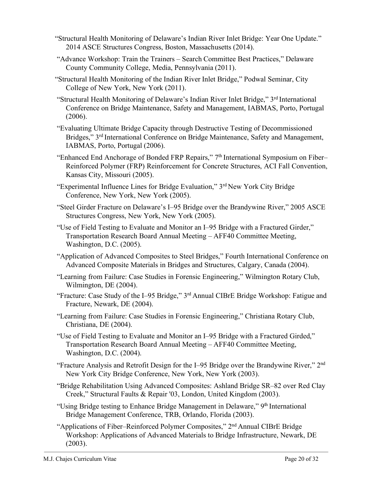- "Structural Health Monitoring of Delaware's Indian River Inlet Bridge: Year One Update." 2014 ASCE Structures Congress, Boston, Massachusetts (2014).
- "Advance Workshop: Train the Trainers Search Committee Best Practices," Delaware County Community College, Media, Pennsylvania (2011).
- "Structural Health Monitoring of the Indian River Inlet Bridge," Podwal Seminar, City College of New York, New York (2011).
- "Structural Health Monitoring of Delaware's Indian River Inlet Bridge," 3rd International Conference on Bridge Maintenance, Safety and Management, IABMAS, Porto, Portugal (2006).
- "Evaluating Ultimate Bridge Capacity through Destructive Testing of Decommissioned Bridges," 3rd International Conference on Bridge Maintenance, Safety and Management, IABMAS, Porto, Portugal (2006).
- "Enhanced End Anchorage of Bonded FRP Repairs," 7th International Symposium on Fiber– Reinforced Polymer (FRP) Reinforcement for Concrete Structures, ACI Fall Convention, Kansas City, Missouri (2005).
- "Experimental Influence Lines for Bridge Evaluation," 3rd New York City Bridge Conference, New York, New York (2005).
- "Steel Girder Fracture on Delaware's I–95 Bridge over the Brandywine River," 2005 ASCE Structures Congress, New York, New York (2005).
- "Use of Field Testing to Evaluate and Monitor an I–95 Bridge with a Fractured Girder," Transportation Research Board Annual Meeting – AFF40 Committee Meeting, Washington, D.C. (2005).
- "Application of Advanced Composites to Steel Bridges," Fourth International Conference on Advanced Composite Materials in Bridges and Structures, Calgary, Canada (2004).
- "Learning from Failure: Case Studies in Forensic Engineering," Wilmington Rotary Club, Wilmington, DE (2004).
- "Fracture: Case Study of the I–95 Bridge," 3rd Annual CIBrE Bridge Workshop: Fatigue and Fracture, Newark, DE (2004).
- "Learning from Failure: Case Studies in Forensic Engineering," Christiana Rotary Club, Christiana, DE (2004).
- "Use of Field Testing to Evaluate and Monitor an I–95 Bridge with a Fractured Girded," Transportation Research Board Annual Meeting – AFF40 Committee Meeting, Washington, D.C. (2004).
- "Fracture Analysis and Retrofit Design for the I–95 Bridge over the Brandywine River," 2nd New York City Bridge Conference, New York, New York (2003).
- "Bridge Rehabilitation Using Advanced Composites: Ashland Bridge SR–82 over Red Clay Creek," Structural Faults & Repair '03, London, United Kingdom (2003).
- "Using Bridge testing to Enhance Bridge Management in Delaware," 9<sup>th</sup> International Bridge Management Conference, TRB, Orlando, Florida (2003).
- "Applications of Fiber–Reinforced Polymer Composites," 2nd Annual CIBrE Bridge Workshop: Applications of Advanced Materials to Bridge Infrastructure, Newark, DE  $(2003)$ .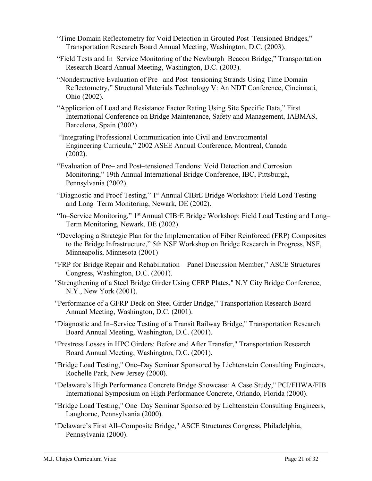- "Time Domain Reflectometry for Void Detection in Grouted Post–Tensioned Bridges," Transportation Research Board Annual Meeting, Washington, D.C. (2003).
- "Field Tests and In–Service Monitoring of the Newburgh–Beacon Bridge," Transportation Research Board Annual Meeting, Washington, D.C. (2003).
- "Nondestructive Evaluation of Pre– and Post–tensioning Strands Using Time Domain Reflectometry," Structural Materials Technology V: An NDT Conference, Cincinnati, Ohio (2002).
- "Application of Load and Resistance Factor Rating Using Site Specific Data," First International Conference on Bridge Maintenance, Safety and Management, IABMAS, Barcelona, Spain (2002).
- "Integrating Professional Communication into Civil and Environmental Engineering Curricula," 2002 ASEE Annual Conference, Montreal, Canada (2002).
- "Evaluation of Pre– and Post–tensioned Tendons: Void Detection and Corrosion Monitoring," 19th Annual International Bridge Conference, IBC, Pittsburgh, Pennsylvania (2002).
- "Diagnostic and Proof Testing," 1st Annual CIBrE Bridge Workshop: Field Load Testing and Long–Term Monitoring, Newark, DE (2002).
- "In–Service Monitoring," 1st Annual CIBrE Bridge Workshop: Field Load Testing and Long– Term Monitoring, Newark, DE (2002).
- "Developing a Strategic Plan for the Implementation of Fiber Reinforced (FRP) Composites to the Bridge Infrastructure," 5th NSF Workshop on Bridge Research in Progress, NSF, Minneapolis, Minnesota (2001)
- "FRP for Bridge Repair and Rehabilitation Panel Discussion Member," ASCE Structures Congress, Washington, D.C. (2001).
- "Strengthening of a Steel Bridge Girder Using CFRP Plates," N.Y City Bridge Conference, N.Y., New York (2001).
- "Performance of a GFRP Deck on Steel Girder Bridge," Transportation Research Board Annual Meeting, Washington, D.C. (2001).
- "Diagnostic and In–Service Testing of a Transit Railway Bridge," Transportation Research Board Annual Meeting, Washington, D.C. (2001).
- "Prestress Losses in HPC Girders: Before and After Transfer," Transportation Research Board Annual Meeting, Washington, D.C. (2001).
- "Bridge Load Testing," One–Day Seminar Sponsored by Lichtenstein Consulting Engineers, Rochelle Park, New Jersey (2000).
- "Delaware's High Performance Concrete Bridge Showcase: A Case Study," PCI/FHWA/FIB International Symposium on High Performance Concrete, Orlando, Florida (2000).
- "Bridge Load Testing," One–Day Seminar Sponsored by Lichtenstein Consulting Engineers, Langhorne, Pennsylvania (2000).
- "Delaware's First All–Composite Bridge," ASCE Structures Congress, Philadelphia, Pennsylvania (2000).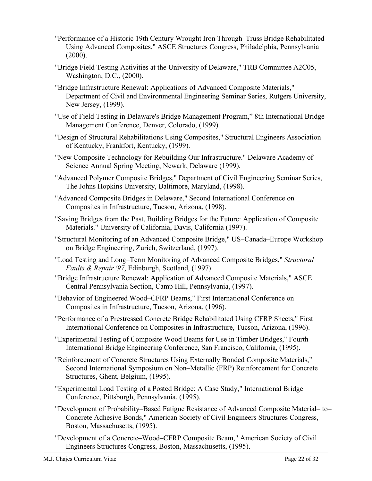- "Performance of a Historic 19th Century Wrought Iron Through–Truss Bridge Rehabilitated Using Advanced Composites," ASCE Structures Congress, Philadelphia, Pennsylvania  $(2000)$ .
- "Bridge Field Testing Activities at the University of Delaware," TRB Committee A2C05, Washington, D.C., (2000).
- "Bridge Infrastructure Renewal: Applications of Advanced Composite Materials," Department of Civil and Environmental Engineering Seminar Series, Rutgers University, New Jersey, (1999).
- "Use of Field Testing in Delaware's Bridge Management Program," 8th International Bridge Management Conference, Denver, Colorado, (1999).
- "Design of Structural Rehabilitations Using Composites," Structural Engineers Association of Kentucky, Frankfort, Kentucky, (1999).
- "New Composite Technology for Rebuilding Our Infrastructure." Delaware Academy of Science Annual Spring Meeting, Newark, Delaware (1999).
- "Advanced Polymer Composite Bridges," Department of Civil Engineering Seminar Series, The Johns Hopkins University, Baltimore, Maryland, (1998).
- "Advanced Composite Bridges in Delaware," Second International Conference on Composites in Infrastructure, Tucson, Arizona, (1998).
- "Saving Bridges from the Past, Building Bridges for the Future: Application of Composite Materials." University of California, Davis, California (1997).
- "Structural Monitoring of an Advanced Composite Bridge," US–Canada–Europe Workshop on Bridge Engineering, Zurich, Switzerland, (1997).
- "Load Testing and Long–Term Monitoring of Advanced Composite Bridges," *Structural Faults & Repair '97*, Edinburgh, Scotland, (1997).
- "Bridge Infrastructure Renewal: Application of Advanced Composite Materials," ASCE Central Pennsylvania Section, Camp Hill, Pennsylvania, (1997).
- "Behavior of Engineered Wood–CFRP Beams," First International Conference on Composites in Infrastructure, Tucson, Arizona, (1996).
- "Performance of a Prestressed Concrete Bridge Rehabilitated Using CFRP Sheets," First International Conference on Composites in Infrastructure, Tucson, Arizona, (1996).
- "Experimental Testing of Composite Wood Beams for Use in Timber Bridges," Fourth International Bridge Engineering Conference, San Francisco, California, (1995).
- "Reinforcement of Concrete Structures Using Externally Bonded Composite Materials," Second International Symposium on Non–Metallic (FRP) Reinforcement for Concrete Structures, Ghent, Belgium, (1995).
- "Experimental Load Testing of a Posted Bridge: A Case Study," International Bridge Conference, Pittsburgh, Pennsylvania, (1995).
- "Development of Probability–Based Fatigue Resistance of Advanced Composite Material– to– Concrete Adhesive Bonds," American Society of Civil Engineers Structures Congress, Boston, Massachusetts, (1995).
- "Development of a Concrete–Wood–CFRP Composite Beam," American Society of Civil Engineers Structures Congress, Boston, Massachusetts, (1995).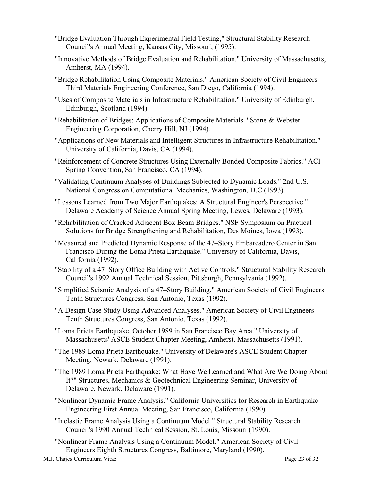- "Bridge Evaluation Through Experimental Field Testing," Structural Stability Research Council's Annual Meeting, Kansas City, Missouri, (1995).
- "Innovative Methods of Bridge Evaluation and Rehabilitation." University of Massachusetts, Amherst, MA (1994).
- "Bridge Rehabilitation Using Composite Materials." American Society of Civil Engineers Third Materials Engineering Conference, San Diego, California (1994).
- "Uses of Composite Materials in Infrastructure Rehabilitation." University of Edinburgh, Edinburgh, Scotland (1994).
- "Rehabilitation of Bridges: Applications of Composite Materials." Stone & Webster Engineering Corporation, Cherry Hill, NJ (1994).
- "Applications of New Materials and Intelligent Structures in Infrastructure Rehabilitation." University of California, Davis, CA (1994).
- "Reinforcement of Concrete Structures Using Externally Bonded Composite Fabrics." ACI Spring Convention, San Francisco, CA (1994).
- "Validating Continuum Analyses of Buildings Subjected to Dynamic Loads." 2nd U.S. National Congress on Computational Mechanics, Washington, D.C (1993).
- "Lessons Learned from Two Major Earthquakes: A Structural Engineer's Perspective." Delaware Academy of Science Annual Spring Meeting, Lewes, Delaware (1993).
- "Rehabilitation of Cracked Adjacent Box Beam Bridges." NSF Symposium on Practical Solutions for Bridge Strengthening and Rehabilitation, Des Moines, Iowa (1993).
- "Measured and Predicted Dynamic Response of the 47–Story Embarcadero Center in San Francisco During the Loma Prieta Earthquake." University of California, Davis, California (1992).
- "Stability of a 47–Story Office Building with Active Controls." Structural Stability Research Council's 1992 Annual Technical Session, Pittsburgh, Pennsylvania (1992).
- "Simplified Seismic Analysis of a 47–Story Building." American Society of Civil Engineers Tenth Structures Congress, San Antonio, Texas (1992).
- "A Design Case Study Using Advanced Analyses." American Society of Civil Engineers Tenth Structures Congress, San Antonio, Texas (1992).
- "Loma Prieta Earthquake, October 1989 in San Francisco Bay Area." University of Massachusetts' ASCE Student Chapter Meeting, Amherst, Massachusetts (1991).
- "The 1989 Loma Prieta Earthquake." University of Delaware's ASCE Student Chapter Meeting, Newark, Delaware (1991).
- "The 1989 Loma Prieta Earthquake: What Have We Learned and What Are We Doing About It?" Structures, Mechanics & Geotechnical Engineering Seminar, University of Delaware, Newark, Delaware (1991).
- "Nonlinear Dynamic Frame Analysis." California Universities for Research in Earthquake Engineering First Annual Meeting, San Francisco, California (1990).
- "Inelastic Frame Analysis Using a Continuum Model." Structural Stability Research Council's 1990 Annual Technical Session, St. Louis, Missouri (1990).
- "Nonlinear Frame Analysis Using a Continuum Model." American Society of Civil Engineers Eighth Structures Congress, Baltimore, Maryland (1990).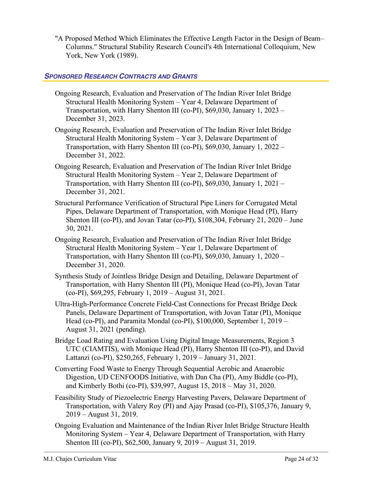"A Proposed Method Which Eliminates the Effective Length Factor in the Design of Beam– Columns." Structural Stability Research Council's 4th International Colloquium, New York, New York (1989).

## *SPONSORED RESEARCH CONTRACTS AND GRANTS*

- Ongoing Research, Evaluation and Preservation of The Indian River Inlet Bridge Structural Health Monitoring System – Year 4, Delaware Department of Transportation, with Harry Shenton III (co-PI), \$69,030, January 1, 2023 – December 31, 2023.
- Ongoing Research, Evaluation and Preservation of The Indian River Inlet Bridge Structural Health Monitoring System – Year 3, Delaware Department of Transportation, with Harry Shenton III (co-PI), \$69,030, January 1, 2022 – December 31, 2022.
- Ongoing Research, Evaluation and Preservation of The Indian River Inlet Bridge Structural Health Monitoring System – Year 2, Delaware Department of Transportation, with Harry Shenton III (co-PI), \$69,030, January 1, 2021 – December 31, 2021.
- Structural Performance Verification of Structural Pipe Liners for Corrugated Metal Pipes, Delaware Department of Transportation, with Monique Head (PI), Harry Shenton III (co-PI), and Jovan Tatar (co-PI), \$108,304, February 21, 2020 – June 30, 2021.
- Ongoing Research, Evaluation and Preservation of The Indian River Inlet Bridge Structural Health Monitoring System – Year 1, Delaware Department of Transportation, with Harry Shenton III (co-PI), \$69,030, January 1, 2020 – December 31, 2020.
- Synthesis Study of Jointless Bridge Design and Detailing, Delaware Department of Transportation, with Harry Shenton III (PI), Monique Head (co-PI), Jovan Tatar (co-PI), \$69,295, February 1, 2019 – August 31, 2021.
- Ultra-High-Performance Concrete Field-Cast Connections for Precast Bridge Deck Panels, Delaware Department of Transportation, with Jovan Tatar (PI), Monique Head (co-PI), and Paramita Mondal (co-PI), \$100,000, September 1, 2019 – August 31, 2021 (pending).
- Bridge Load Rating and Evaluation Using Digital Image Measurements, Region 3 UTC (CIAMTIS), with Monique Head (PI), Harry Shenton III (co-PI), and David Lattanzi (co-PI), \$250,265, February 1, 2019 – January 31, 2021.
- Converting Food Waste to Energy Through Sequential Aerobic and Anaerobic Digestion, UD CENFOODS Initiative, with Dan Cha (PI), Amy Biddle (co-PI), and Kimberly Bothi (co-PI), \$39,997, August 15, 2018 – May 31, 2020.
- Feasibility Study of Piezoelectric Energy Harvesting Pavers, Delaware Department of Transportation, with Valery Roy (PI) and Ajay Prasad (co-PI), \$105,376, January 9, 2019 – August 31, 2019.
- Ongoing Evaluation and Maintenance of the Indian River Inlet Bridge Structure Health Monitoring System – Year 4, Delaware Department of Transportation, with Harry Shenton III (co-PI), \$62,500, January 9, 2019 – August 31, 2019.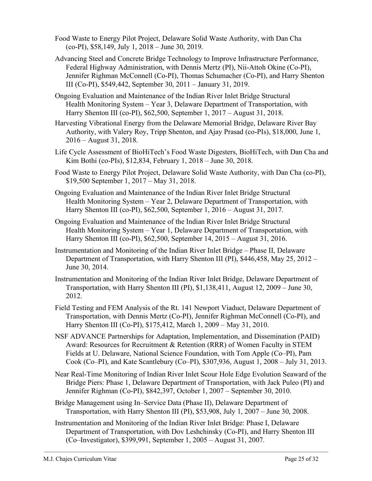- Food Waste to Energy Pilot Project, Delaware Solid Waste Authority, with Dan Cha (co-PI), \$58,149, July 1, 2018 – June 30, 2019.
- Advancing Steel and Concrete Bridge Technology to Improve Infrastructure Performance, Federal Highway Administration, with Dennis Mertz (PI), Nii-Attoh Okine (Co-PI), Jennifer Righman McConnell (Co-PI), Thomas Schumacher (Co-PI), and Harry Shenton III (Co-PI), \$549,442, September 30, 2011 – January 31, 2019.
- Ongoing Evaluation and Maintenance of the Indian River Inlet Bridge Structural Health Monitoring System – Year 3, Delaware Department of Transportation, with Harry Shenton III (co-PI), \$62,500, September 1, 2017 – August 31, 2018.
- Harvesting Vibrational Energy from the Delaware Memorial Bridge, Delaware River Bay Authority, with Valery Roy, Tripp Shenton, and Ajay Prasad (co-PIs), \$18,000, June 1, 2016 – August 31, 2018.
- Life Cycle Assessment of BioHiTech's Food Waste Digesters, BioHiTech, with Dan Cha and Kim Bothi (co-PIs), \$12,834, February 1, 2018 – June 30, 2018.
- Food Waste to Energy Pilot Project, Delaware Solid Waste Authority, with Dan Cha (co-PI), \$19,500 September 1, 2017 – May 31, 2018.
- Ongoing Evaluation and Maintenance of the Indian River Inlet Bridge Structural Health Monitoring System – Year 2, Delaware Department of Transportation, with Harry Shenton III (co-PI), \$62,500, September 1, 2016 – August 31, 2017.
- Ongoing Evaluation and Maintenance of the Indian River Inlet Bridge Structural Health Monitoring System – Year 1, Delaware Department of Transportation, with Harry Shenton III (co-PI), \$62,500, September 14, 2015 – August 31, 2016.
- Instrumentation and Monitoring of the Indian River Inlet Bridge Phase II, Delaware Department of Transportation, with Harry Shenton III (PI), \$446,458, May 25, 2012 – June 30, 2014.
- Instrumentation and Monitoring of the Indian River Inlet Bridge, Delaware Department of Transportation, with Harry Shenton III (PI), \$1,138,411, August 12, 2009 – June 30, 2012.
- Field Testing and FEM Analysis of the Rt. 141 Newport Viaduct, Delaware Department of Transportation, with Dennis Mertz (Co-PI), Jennifer Righman McConnell (Co-PI), and Harry Shenton III (Co-PI), \$175,412, March 1, 2009 – May 31, 2010.
- NSF ADVANCE Partnerships for Adaptation, Implementation, and Dissemination (PAID) Award: Resources for Recruitment & Retention (RRR) of Women Faculty in STEM Fields at U. Delaware, National Science Foundation, with Tom Apple (Co–PI), Pam Cook (Co–PI), and Kate Scantlebury (Co–PI), \$307,936, August 1, 2008 – July 31, 2013.
- Near Real-Time Monitoring of Indian River Inlet Scour Hole Edge Evolution Seaward of the Bridge Piers: Phase 1, Delaware Department of Transportation, with Jack Puleo (PI) and Jennifer Righman (Co-PI), \$842,397, October 1, 2007 – September 30, 2010.
- Bridge Management using In–Service Data (Phase II), Delaware Department of Transportation, with Harry Shenton III (PI), \$53,908, July 1, 2007 – June 30, 2008.
- Instrumentation and Monitoring of the Indian River Inlet Bridge: Phase I, Delaware Department of Transportation, with Dov Leshchinsky (Co-PI), and Harry Shenton III (Co–Investigator), \$399,991, September 1, 2005 – August 31, 2007.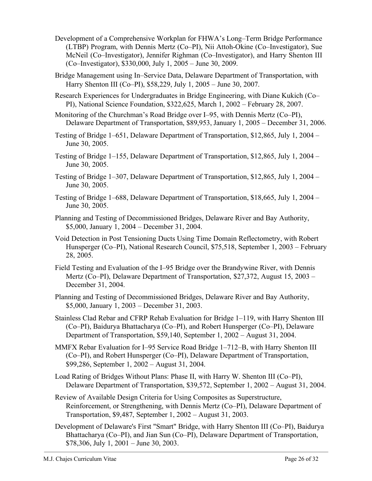- Development of a Comprehensive Workplan for FHWA's Long–Term Bridge Performance (LTBP) Program, with Dennis Mertz (Co–PI), Nii Attoh-Okine (Co–Investigator), Sue McNeil (Co–Investigator), Jennifer Righman (Co–Investigator), and Harry Shenton III (Co–Investigator), \$330,000, July 1, 2005 – June 30, 2009.
- Bridge Management using In–Service Data, Delaware Department of Transportation, with Harry Shenton III (Co–PI), \$58,229, July 1, 2005 – June 30, 2007.
- Research Experiences for Undergraduates in Bridge Engineering, with Diane Kukich (Co– PI), National Science Foundation, \$322,625, March 1, 2002 – February 28, 2007.
- Monitoring of the Churchman's Road Bridge over I–95, with Dennis Mertz (Co–PI), Delaware Department of Transportation, \$89,953, January 1, 2005 – December 31, 2006.
- Testing of Bridge 1–651, Delaware Department of Transportation, \$12,865, July 1, 2004 June 30, 2005.
- Testing of Bridge 1–155, Delaware Department of Transportation, \$12,865, July 1, 2004 June 30, 2005.
- Testing of Bridge 1–307, Delaware Department of Transportation, \$12,865, July 1, 2004 June 30, 2005.
- Testing of Bridge 1–688, Delaware Department of Transportation, \$18,665, July 1, 2004 June 30, 2005.
- Planning and Testing of Decommissioned Bridges, Delaware River and Bay Authority, \$5,000, January 1, 2004 – December 31, 2004.
- Void Detection in Post Tensioning Ducts Using Time Domain Reflectometry, with Robert Hunsperger (Co–PI), National Research Council, \$75,518, September 1, 2003 – February 28, 2005.
- Field Testing and Evaluation of the I–95 Bridge over the Brandywine River, with Dennis Mertz (Co–PI), Delaware Department of Transportation, \$27,372, August 15, 2003 – December 31, 2004.
- Planning and Testing of Decommissioned Bridges, Delaware River and Bay Authority, \$5,000, January 1, 2003 – December 31, 2003.
- Stainless Clad Rebar and CFRP Rehab Evaluation for Bridge 1–119, with Harry Shenton III (Co–PI), Baidurya Bhattacharya (Co–PI), and Robert Hunsperger (Co–PI), Delaware Department of Transportation, \$59,140, September 1, 2002 – August 31, 2004.
- MMFX Rebar Evaluation for I–95 Service Road Bridge 1–712–B, with Harry Shenton III (Co–PI), and Robert Hunsperger (Co–PI), Delaware Department of Transportation, \$99,286, September 1, 2002 – August 31, 2004.
- Load Rating of Bridges Without Plans: Phase II, with Harry W. Shenton III (Co–PI), Delaware Department of Transportation, \$39,572, September 1, 2002 – August 31, 2004.
- Review of Available Design Criteria for Using Composites as Superstructure, Reinforcement, or Strengthening, with Dennis Mertz (Co–PI), Delaware Department of Transportation, \$9,487, September 1, 2002 – August 31, 2003.
- Development of Delaware's First "Smart" Bridge, with Harry Shenton III (Co–PI), Baidurya Bhattacharya (Co–PI), and Jian Sun (Co–PI), Delaware Department of Transportation, \$78,306, July 1, 2001 – June 30, 2003.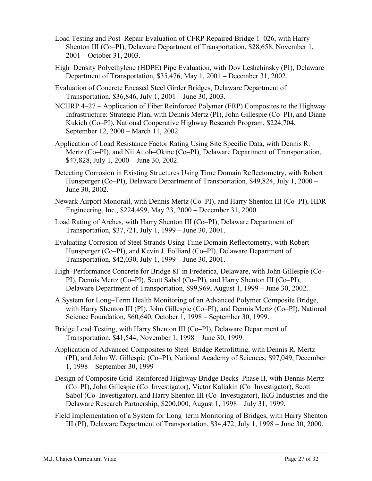- Load Testing and Post–Repair Evaluation of CFRP Repaired Bridge 1–026, with Harry Shenton III (Co–PI), Delaware Department of Transportation, \$28,658, November 1, 2001 – October 31, 2003.
- High–Density Polyethylene (HDPE) Pipe Evaluation, with Dov Leshchinsky (PI), Delaware Department of Transportation, \$35,476, May 1, 2001 – December 31, 2002.
- Evaluation of Concrete Encased Steel Girder Bridges, Delaware Department of Transportation, \$36,846, July 1, 2001 – June 30, 2003.
- NCHRP 4–27 Application of Fiber Reinforced Polymer (FRP) Composites to the Highway Infrastructure: Strategic Plan, with Dennis Mertz (PI), John Gillespie (Co–PI), and Diane Kukich (Co–PI), National Cooperative Highway Research Program, \$224,704, September 12, 2000 – March 11, 2002.
- Application of Load Resistance Factor Rating Using Site Specific Data, with Dennis R. Mertz (Co–PI), and Nii Attoh–Okine (Co–PI), Delaware Department of Transportation, \$47,828, July 1, 2000 – June 30, 2002.
- Detecting Corrosion in Existing Structures Using Time Domain Reflectometry, with Robert Hunsperger (Co–PI), Delaware Department of Transportation, \$49,824, July 1, 2000 – June 30, 2002.
- Newark Airport Monorail, with Dennis Mertz (Co–PI), and Harry Shenton III (Co–PI), HDR Engineering, Inc., \$224,499, May 23, 2000 – December 31, 2000.
- Load Rating of Arches, with Harry Shenton III (Co–PI), Delaware Department of Transportation, \$37,721, July 1, 1999 – June 30, 2001.
- Evaluating Corrosion of Steel Strands Using Time Domain Reflectometry, with Robert Hunsperger (Co–PI), and Kevin J. Folliard (Co–PI), Delaware Department of Transportation, \$42,030, July 1, 1999 – June 30, 2001.
- High–Performance Concrete for Bridge 8F in Frederica, Delaware, with John Gillespie (Co– PI), Dennis Mertz (Co–PI), Scott Sabol (Co–PI), and Harry Shenton III (Co–PI), Delaware Department of Transportation, \$99,969, August 1, 1999 – June 30, 2002.
- A System for Long–Term Health Monitoring of an Advanced Polymer Composite Bridge, with Harry Shenton III (PI), John Gillespie (Co–PI), and Dennis Mertz (Co–PI), National Science Foundation, \$60,640, October 1, 1998 – September 30, 1999.
- Bridge Load Testing, with Harry Shenton III (Co–PI), Delaware Department of Transportation, \$41,544, November 1, 1998 – June 30, 1999.
- Application of Advanced Composites to Steel–Bridge Retrofitting, with Dennis R. Mertz (PI), and John W. Gillespie (Co–PI), National Academy of Sciences, \$97,049, December 1, 1998 – September 30, 1999
- Design of Composite Grid–Reinforced Highway Bridge Decks–Phase II, with Dennis Mertz (Co–PI), John Gillespie (Co–Investigator), Victor Kaliakin (Co–Investigator), Scott Sabol (Co–Investigator), and Harry Shenton III (Co–Investigator), IKG Industries and the Delaware Research Partnership, \$200,000, August 1, 1998 – July 31, 1999.
- Field Implementation of a System for Long–term Monitoring of Bridges, with Harry Shenton III (PI), Delaware Department of Transportation, \$34,472, July 1, 1998 – June 30, 2000.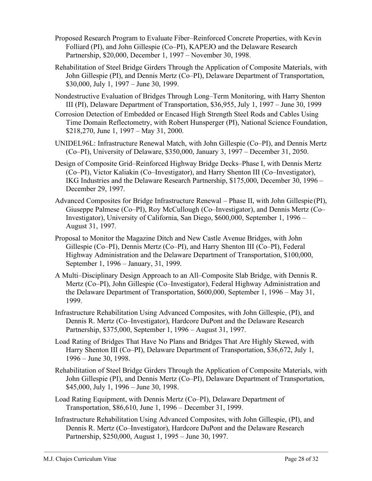- Proposed Research Program to Evaluate Fiber–Reinforced Concrete Properties, with Kevin Folliard (PI), and John Gillespie (Co–PI), KAPEJO and the Delaware Research Partnership, \$20,000, December 1, 1997 – November 30, 1998.
- Rehabilitation of Steel Bridge Girders Through the Application of Composite Materials, with John Gillespie (PI), and Dennis Mertz (Co–PI), Delaware Department of Transportation, \$30,000, July 1, 1997 – June 30, 1999.
- Nondestructive Evaluation of Bridges Through Long–Term Monitoring, with Harry Shenton III (PI), Delaware Department of Transportation, \$36,955, July 1, 1997 – June 30, 1999
- Corrosion Detection of Embedded or Encased High Strength Steel Rods and Cables Using Time Domain Reflectometry, with Robert Hunsperger (PI), National Science Foundation, \$218,270, June 1, 1997 – May 31, 2000.
- UNIDEL96L: Infrastructure Renewal Match, with John Gillespie (Co–PI), and Dennis Mertz (Co–PI), University of Delaware, \$350,000, January 3, 1997 – December 31, 2050.
- Design of Composite Grid–Reinforced Highway Bridge Decks–Phase I, with Dennis Mertz (Co–PI), Victor Kaliakin (Co–Investigator), and Harry Shenton III (Co–Investigator), IKG Industries and the Delaware Research Partnership, \$175,000, December 30, 1996 – December 29, 1997.
- Advanced Composites for Bridge Infrastructure Renewal Phase II, with John Gillespie (PI), Giuseppe Palmese (Co–PI), Roy McCullough (Co–Investigator), and Dennis Mertz (Co– Investigator), University of California, San Diego, \$600,000, September 1, 1996 – August 31, 1997.
- Proposal to Monitor the Magazine Ditch and New Castle Avenue Bridges, with John Gillespie (Co–PI), Dennis Mertz (Co–PI), and Harry Shenton III (Co–PI), Federal Highway Administration and the Delaware Department of Transportation, \$100,000, September 1, 1996 – January, 31, 1999.
- A Multi–Disciplinary Design Approach to an All–Composite Slab Bridge, with Dennis R. Mertz (Co–PI), John Gillespie (Co–Investigator), Federal Highway Administration and the Delaware Department of Transportation, \$600,000, September 1, 1996 – May 31, 1999.
- Infrastructure Rehabilitation Using Advanced Composites, with John Gillespie, (PI), and Dennis R. Mertz (Co–Investigator), Hardcore DuPont and the Delaware Research Partnership, \$375,000, September 1, 1996 – August 31, 1997.
- Load Rating of Bridges That Have No Plans and Bridges That Are Highly Skewed, with Harry Shenton III (Co–PI), Delaware Department of Transportation, \$36,672, July 1, 1996 – June 30, 1998.
- Rehabilitation of Steel Bridge Girders Through the Application of Composite Materials, with John Gillespie (PI), and Dennis Mertz (Co–PI), Delaware Department of Transportation, \$45,000, July 1, 1996 – June 30, 1998.
- Load Rating Equipment, with Dennis Mertz (Co–PI), Delaware Department of Transportation, \$86,610, June 1, 1996 – December 31, 1999.
- Infrastructure Rehabilitation Using Advanced Composites, with John Gillespie, (PI), and Dennis R. Mertz (Co–Investigator), Hardcore DuPont and the Delaware Research Partnership, \$250,000, August 1, 1995 – June 30, 1997.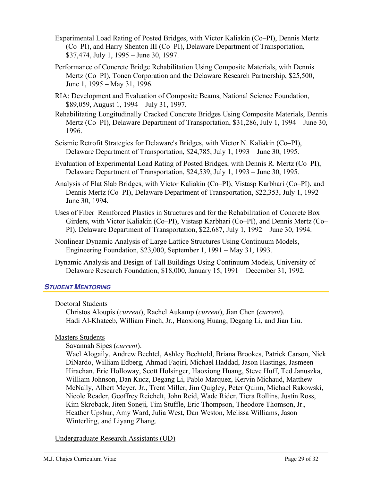- Experimental Load Rating of Posted Bridges, with Victor Kaliakin (Co–PI), Dennis Mertz (Co–PI), and Harry Shenton III (Co–PI), Delaware Department of Transportation, \$37,474, July 1, 1995 – June 30, 1997.
- Performance of Concrete Bridge Rehabilitation Using Composite Materials, with Dennis Mertz (Co–PI), Tonen Corporation and the Delaware Research Partnership, \$25,500, June 1, 1995 – May 31, 1996.
- RIA: Development and Evaluation of Composite Beams, National Science Foundation, \$89,059, August 1, 1994 – July 31, 1997.
- Rehabilitating Longitudinally Cracked Concrete Bridges Using Composite Materials, Dennis Mertz (Co–PI), Delaware Department of Transportation, \$31,286, July 1, 1994 – June 30, 1996.
- Seismic Retrofit Strategies for Delaware's Bridges, with Victor N. Kaliakin (Co–PI), Delaware Department of Transportation, \$24,785, July 1, 1993 – June 30, 1995.
- Evaluation of Experimental Load Rating of Posted Bridges, with Dennis R. Mertz (Co–PI), Delaware Department of Transportation, \$24,539, July 1, 1993 – June 30, 1995.
- Analysis of Flat Slab Bridges, with Victor Kaliakin (Co–PI), Vistasp Karbhari (Co–PI), and Dennis Mertz (Co–PI), Delaware Department of Transportation, \$22,353, July 1, 1992 – June 30, 1994.
- Uses of Fiber–Reinforced Plastics in Structures and for the Rehabilitation of Concrete Box Girders, with Victor Kaliakin (Co–PI), Vistasp Karbhari (Co–PI), and Dennis Mertz (Co– PI), Delaware Department of Transportation, \$22,687, July 1, 1992 – June 30, 1994.
- Nonlinear Dynamic Analysis of Large Lattice Structures Using Continuum Models, Engineering Foundation, \$23,000, September 1, 1991 – May 31, 1993.
- Dynamic Analysis and Design of Tall Buildings Using Continuum Models, University of Delaware Research Foundation, \$18,000, January 15, 1991 – December 31, 1992.

## *STUDENT MENTORING*

## Doctoral Students

Christos Aloupis (*current*), Rachel Aukamp (*current*), Jian Chen (*current*). Hadi Al-Khateeb, William Finch, Jr., Haoxiong Huang, Degang Li, and Jian Liu.

## Masters Students

Savannah Sipes (*current*).

Wael Alogaily, Andrew Bechtel, Ashley Bechtold, Briana Brookes, Patrick Carson, Nick DiNardo, William Edberg, Ahmad Faqiri, Michael Haddad, Jason Hastings, Jasmeen Hirachan, Eric Holloway, Scott Holsinger, Haoxiong Huang, Steve Huff, Ted Januszka, William Johnson, Dan Kucz, Degang Li, Pablo Marquez, Kervin Michaud, Matthew McNally, Albert Meyer, Jr., Trent Miller, Jim Quigley, Peter Quinn, Michael Rakowski, Nicole Reader, Geoffrey Reichelt, John Reid, Wade Rider, Tiera Rollins, Justin Ross, Kim Skroback, Jiten Soneji, Tim Stuffle, Eric Thompson, Theodore Thomson, Jr., Heather Upshur, Amy Ward, Julia West, Dan Weston, Melissa Williams, Jason Winterling, and Liyang Zhang.

Undergraduate Research Assistants (UD)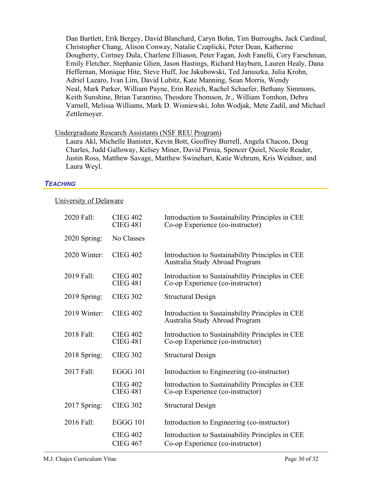Dan Bartlett, Erik Bergey, David Blanchard, Caryn Bohn, Tim Burroughs, Jack Cardinal, Christopher Chang, Alison Conway, Natalie Czaplicki, Peter Dean, Katherine Dougherty, Cortney Dula, Charlene Elliason, Peter Fagan, Josh Fanelli, Cory Farschman, Emily Fletcher, Stephanie Glien, Jason Hastings, Richard Hayburn, Lauren Healy, Dana Heffernan, Monique Hite, Steve Huff, Joe Jakubowski, Ted Januszka, Julia Krohn, Adriel Lazaro, Ivan Lim, David Lubitz, Kate Manning, Sean Morris, Wendy Neal, Mark Parker, William Payne, Erin Rezich, Rachel Schaefer, Bethany Simmons, Keith Sunshine, Brian Tarantino, Theodore Thomson, Jr., William Tomhon, Debra Varnell, Melissa Williams, Mark D. Wisniewski, John Wodjak, Mete Zadil, and Michael Zettlemoyer.

#### Undergraduate Research Assistants (NSF REU Program)

Laura Akl, Michelle Banister, Kevin Bott, Geoffrey Burrell, Angela Chacon, Doug Charles, Judd Galloway, Kelsey Miner, David Pirnia, Spencer Quiel, Nicole Reader, Justin Ross, Matthew Savage, Matthew Swinehart, Katie Wehrum, Kris Weidner, and Laura Weyl.

#### *TEACHING*

#### University of Delaware

| 2020 Fall:   | <b>CIEG 402</b><br><b>CIEG 481</b> | Introduction to Sustainability Principles in CEE<br>Co-op Experience (co-instructor) |
|--------------|------------------------------------|--------------------------------------------------------------------------------------|
| 2020 Spring: | No Classes                         |                                                                                      |
| 2020 Winter: | <b>CIEG 402</b>                    | Introduction to Sustainability Principles in CEE<br>Australia Study Abroad Program   |
| 2019 Fall:   | <b>CIEG 402</b><br><b>CIEG 481</b> | Introduction to Sustainability Principles in CEE<br>Co-op Experience (co-instructor) |
| 2019 Spring: | <b>CIEG 302</b>                    | <b>Structural Design</b>                                                             |
| 2019 Winter: | <b>CIEG 402</b>                    | Introduction to Sustainability Principles in CEE<br>Australia Study Abroad Program   |
| 2018 Fall:   | <b>CIEG 402</b><br><b>CIEG 481</b> | Introduction to Sustainability Principles in CEE<br>Co-op Experience (co-instructor) |
| 2018 Spring: | <b>CIEG 302</b>                    | <b>Structural Design</b>                                                             |
| 2017 Fall:   | <b>EGGG 101</b>                    | Introduction to Engineering (co-instructor)                                          |
|              | <b>CIEG 402</b><br><b>CIEG 481</b> | Introduction to Sustainability Principles in CEE<br>Co-op Experience (co-instructor) |
| 2017 Spring: | <b>CIEG 302</b>                    | <b>Structural Design</b>                                                             |
| 2016 Fall:   | <b>EGGG 101</b>                    | Introduction to Engineering (co-instructor)                                          |
|              | <b>CIEG 402</b><br><b>CIEG 467</b> | Introduction to Sustainability Principles in CEE<br>Co-op Experience (co-instructor) |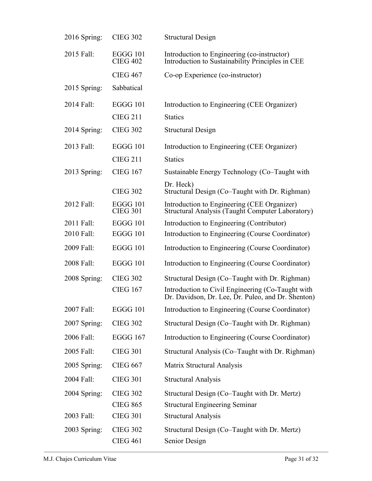| 2016 Spring: | <b>CIEG 302</b>                    | <b>Structural Design</b>                                                                                |
|--------------|------------------------------------|---------------------------------------------------------------------------------------------------------|
| 2015 Fall:   | EGGG 101<br><b>CIEG 402</b>        | Introduction to Engineering (co-instructor)<br>Introduction to Sustainability Principles in CEE         |
|              | <b>CIEG 467</b>                    | Co-op Experience (co-instructor)                                                                        |
| 2015 Spring: | Sabbatical                         |                                                                                                         |
| 2014 Fall:   | <b>EGGG 101</b>                    | Introduction to Engineering (CEE Organizer)                                                             |
|              | <b>CIEG 211</b>                    | <b>Statics</b>                                                                                          |
| 2014 Spring: | <b>CIEG 302</b>                    | <b>Structural Design</b>                                                                                |
| 2013 Fall:   | <b>EGGG 101</b>                    | Introduction to Engineering (CEE Organizer)                                                             |
|              | <b>CIEG 211</b>                    | <b>Statics</b>                                                                                          |
| 2013 Spring: | <b>CIEG 167</b>                    | Sustainable Energy Technology (Co-Taught with                                                           |
|              | <b>CIEG 302</b>                    | Dr. Heck)<br>Structural Design (Co–Taught with Dr. Righman)                                             |
| 2012 Fall:   | <b>EGGG 101</b><br><b>CIEG 301</b> | Introduction to Engineering (CEE Organizer)<br>Structural Analysis (Taught Computer Laboratory)         |
| 2011 Fall:   | <b>EGGG 101</b>                    | Introduction to Engineering (Contributor)                                                               |
| 2010 Fall:   | <b>EGGG 101</b>                    | Introduction to Engineering (Course Coordinator)                                                        |
| 2009 Fall:   | <b>EGGG 101</b>                    | Introduction to Engineering (Course Coordinator)                                                        |
| 2008 Fall:   | <b>EGGG 101</b>                    | Introduction to Engineering (Course Coordinator)                                                        |
| 2008 Spring: | <b>CIEG 302</b>                    | Structural Design (Co–Taught with Dr. Righman)                                                          |
|              | <b>CIEG 167</b>                    | Introduction to Civil Engineering (Co-Taught with<br>Dr. Davidson, Dr. Lee, Dr. Puleo, and Dr. Shenton) |
| 2007 Fall:   | <b>EGGG 101</b>                    | Introduction to Engineering (Course Coordinator)                                                        |
| 2007 Spring: | <b>CIEG 302</b>                    | Structural Design (Co-Taught with Dr. Righman)                                                          |
| 2006 Fall:   | <b>EGGG 167</b>                    | Introduction to Engineering (Course Coordinator)                                                        |
| 2005 Fall:   | <b>CIEG 301</b>                    | Structural Analysis (Co–Taught with Dr. Righman)                                                        |
| 2005 Spring: | <b>CIEG 667</b>                    | Matrix Structural Analysis                                                                              |
| 2004 Fall:   | <b>CIEG 301</b>                    | <b>Structural Analysis</b>                                                                              |
| 2004 Spring: | <b>CIEG 302</b>                    | Structural Design (Co–Taught with Dr. Mertz)                                                            |
|              | <b>CIEG 865</b>                    | <b>Structural Engineering Seminar</b>                                                                   |
| 2003 Fall:   | <b>CIEG 301</b>                    | <b>Structural Analysis</b>                                                                              |
| 2003 Spring: | <b>CIEG 302</b>                    | Structural Design (Co-Taught with Dr. Mertz)                                                            |
|              | <b>CIEG 461</b>                    | Senior Design                                                                                           |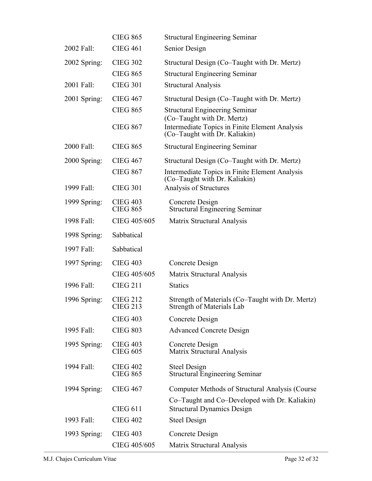|              | <b>CIEG 865</b>                    | <b>Structural Engineering Seminar</b>                                                                         |
|--------------|------------------------------------|---------------------------------------------------------------------------------------------------------------|
| 2002 Fall:   | <b>CIEG 461</b>                    | Senior Design                                                                                                 |
| 2002 Spring: | <b>CIEG 302</b>                    | Structural Design (Co–Taught with Dr. Mertz)                                                                  |
|              | <b>CIEG 865</b>                    | <b>Structural Engineering Seminar</b>                                                                         |
| 2001 Fall:   | <b>CIEG 301</b>                    | <b>Structural Analysis</b>                                                                                    |
| 2001 Spring: | <b>CIEG 467</b>                    | Structural Design (Co–Taught with Dr. Mertz)                                                                  |
|              | <b>CIEG 865</b>                    | <b>Structural Engineering Seminar</b>                                                                         |
|              | <b>CIEG 867</b>                    | (Co-Taught with Dr. Mertz)<br>Intermediate Topics in Finite Element Analysis<br>(Co–Taught with Dr. Kaliakin) |
| 2000 Fall:   | <b>CIEG 865</b>                    | <b>Structural Engineering Seminar</b>                                                                         |
| 2000 Spring: | <b>CIEG 467</b>                    | Structural Design (Co–Taught with Dr. Mertz)                                                                  |
|              | <b>CIEG 867</b>                    | Intermediate Topics in Finite Element Analysis<br>(Co–Taught with Dr. Kaliakin)                               |
| 1999 Fall:   | <b>CIEG 301</b>                    | Analysis of Structures                                                                                        |
| 1999 Spring: | <b>CIEG 403</b><br><b>CIEG 865</b> | Concrete Design<br><b>Structural Engineering Seminar</b>                                                      |
| 1998 Fall:   | CIEG 405/605                       | Matrix Structural Analysis                                                                                    |
| 1998 Spring: | Sabbatical                         |                                                                                                               |
| 1997 Fall:   | Sabbatical                         |                                                                                                               |
| 1997 Spring: | <b>CIEG 403</b>                    | Concrete Design                                                                                               |
|              | CIEG 405/605                       | Matrix Structural Analysis                                                                                    |
| 1996 Fall:   | <b>CIEG 211</b>                    | <b>Statics</b>                                                                                                |
| 1996 Spring: | <b>CIEG 212</b><br>CIEG 213        | Strength of Materials (Co–Taught with Dr. Mertz)<br>Strength of Materials Lab                                 |
|              | <b>CIEG 403</b>                    | Concrete Design                                                                                               |
| 1995 Fall:   | <b>CIEG 803</b>                    | <b>Advanced Concrete Design</b>                                                                               |
| 1995 Spring: | <b>CIEG 403</b><br><b>CIEG 605</b> | Concrete Design<br>Matrix Structural Analysis                                                                 |
| 1994 Fall:   | <b>CIEG 402</b><br><b>CIEG 865</b> | Steel Design<br><b>Structural Engineering Seminar</b>                                                         |
| 1994 Spring: | <b>CIEG 467</b>                    | Computer Methods of Structural Analysis (Course)                                                              |
|              | <b>CIEG 611</b>                    | Co–Taught and Co–Developed with Dr. Kaliakin)<br><b>Structural Dynamics Design</b>                            |
| 1993 Fall:   | <b>CIEG 402</b>                    | Steel Design                                                                                                  |
| 1993 Spring: | <b>CIEG 403</b>                    | Concrete Design                                                                                               |
|              | CIEG 405/605                       | Matrix Structural Analysis                                                                                    |